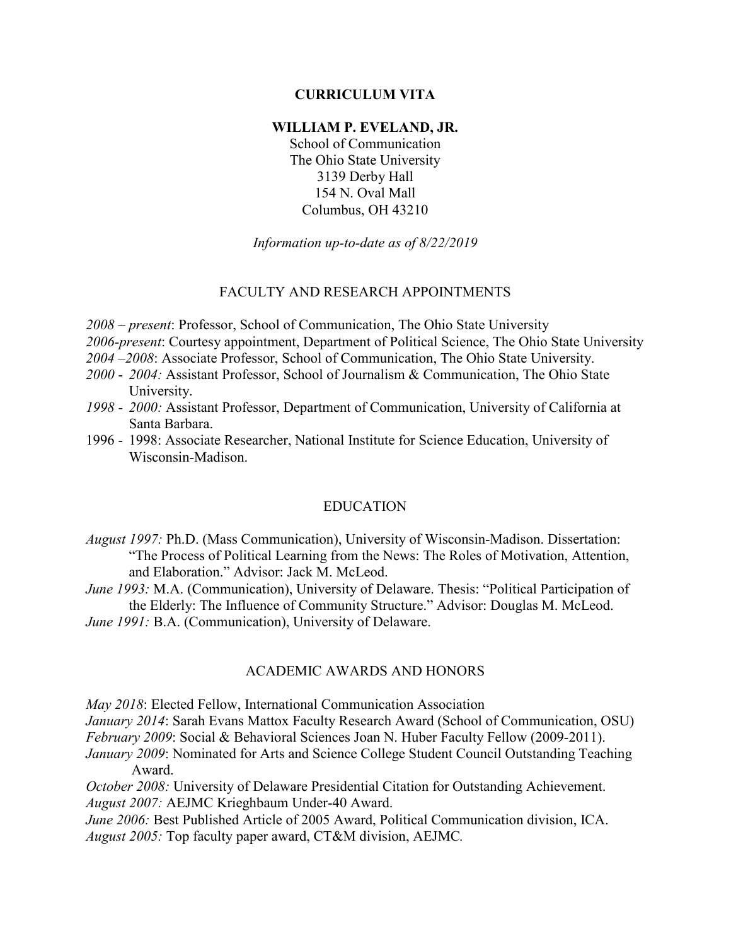## **CURRICULUM VITA**

### **WILLIAM P. EVELAND, JR.**

School of Communication The Ohio State University 3139 Derby Hall 154 N. Oval Mall Columbus, OH 43210

*Information up-to-date as of 8/22/2019*

#### FACULTY AND RESEARCH APPOINTMENTS

*2008 – present*: Professor, School of Communication, The Ohio State University

*2006-present*: Courtesy appointment, Department of Political Science, The Ohio State University

*2004 –2008*: Associate Professor, School of Communication, The Ohio State University.

- *2000 2004:* Assistant Professor, School of Journalism & Communication, The Ohio State University.
- *1998 2000:* Assistant Professor, Department of Communication, University of California at Santa Barbara.
- 1996 1998: Associate Researcher, National Institute for Science Education, University of Wisconsin-Madison.

#### EDUCATION

*August 1997:* Ph.D. (Mass Communication), University of Wisconsin-Madison. Dissertation: "The Process of Political Learning from the News: The Roles of Motivation, Attention, and Elaboration." Advisor: Jack M. McLeod.

*June 1993:* M.A. (Communication), University of Delaware. Thesis: "Political Participation of the Elderly: The Influence of Community Structure." Advisor: Douglas M. McLeod.

*June 1991: B.A. (Communication), University of Delaware.* 

### ACADEMIC AWARDS AND HONORS

*May 2018*: Elected Fellow, International Communication Association

*January 2014*: Sarah Evans Mattox Faculty Research Award (School of Communication, OSU) *February 2009*: Social & Behavioral Sciences Joan N. Huber Faculty Fellow (2009-2011).

*January 2009*: Nominated for Arts and Science College Student Council Outstanding Teaching Award.

*October 2008:* University of Delaware Presidential Citation for Outstanding Achievement. *August 2007:* AEJMC Krieghbaum Under-40 Award.

*June 2006:* Best Published Article of 2005 Award, Political Communication division, ICA. *August 2005:* Top faculty paper award, CT&M division, AEJMC*.*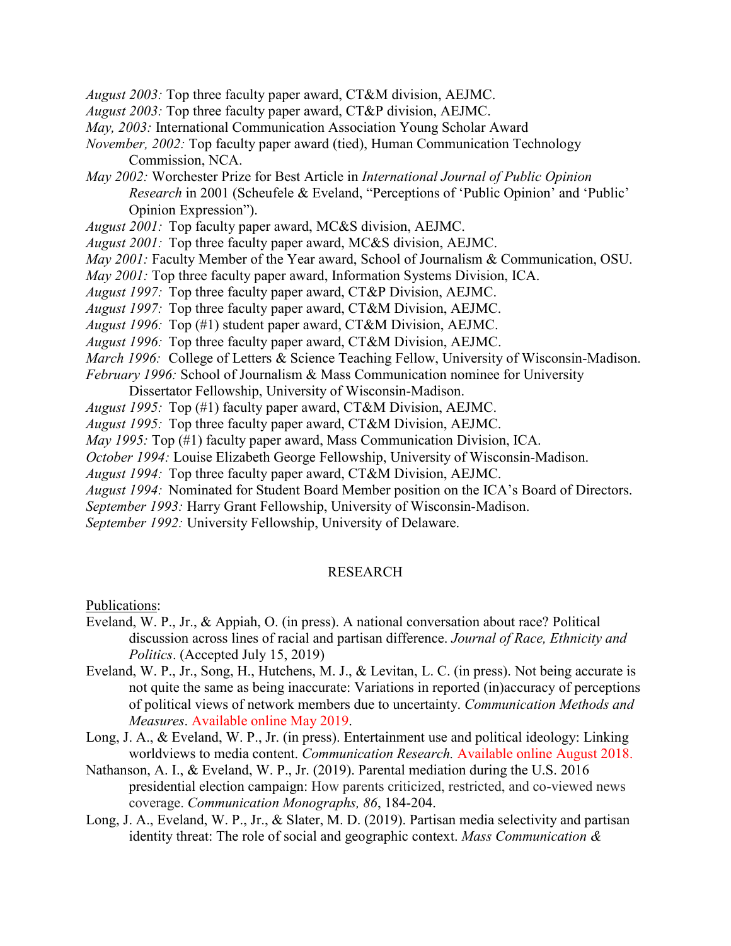*August 2003:* Top three faculty paper award, CT&M division, AEJMC.

*August 2003:* Top three faculty paper award, CT&P division, AEJMC.

*May, 2003:* International Communication Association Young Scholar Award

*November, 2002:* Top faculty paper award (tied), Human Communication Technology Commission, NCA.

- *May 2002:* Worchester Prize for Best Article in *International Journal of Public Opinion Research* in 2001 (Scheufele & Eveland, "Perceptions of 'Public Opinion' and 'Public' Opinion Expression").
- *August 2001:* Top faculty paper award, MC&S division, AEJMC.
- *August 2001:* Top three faculty paper award, MC&S division, AEJMC.
- *May 2001:* Faculty Member of the Year award, School of Journalism & Communication, OSU.
- *May 2001:* Top three faculty paper award, Information Systems Division, ICA.
- *August 1997:* Top three faculty paper award, CT&P Division, AEJMC.

*August 1997:* Top three faculty paper award, CT&M Division, AEJMC.

*August 1996:* Top (#1) student paper award, CT&M Division, AEJMC.

- *August 1996:* Top three faculty paper award, CT&M Division, AEJMC.
- *March 1996:* College of Letters & Science Teaching Fellow, University of Wisconsin-Madison.
- *February 1996:* School of Journalism & Mass Communication nominee for University
	- Dissertator Fellowship, University of Wisconsin-Madison.
- *August 1995:* Top (#1) faculty paper award, CT&M Division, AEJMC.
- *August 1995:* Top three faculty paper award, CT&M Division, AEJMC.
- *May 1995:* Top (#1) faculty paper award, Mass Communication Division, ICA.
- *October 1994:* Louise Elizabeth George Fellowship, University of Wisconsin-Madison.
- *August 1994:* Top three faculty paper award, CT&M Division, AEJMC.

*August 1994:* Nominated for Student Board Member position on the ICA's Board of Directors.

*September 1993:* Harry Grant Fellowship, University of Wisconsin-Madison.

*September 1992:* University Fellowship, University of Delaware.

### RESEARCH

Publications:

- Eveland, W. P., Jr., & Appiah, O. (in press). A national conversation about race? Political discussion across lines of racial and partisan difference. *Journal of Race, Ethnicity and Politics*. (Accepted July 15, 2019)
- Eveland, W. P., Jr., Song, H., Hutchens, M. J., & Levitan, L. C. (in press). Not being accurate is not quite the same as being inaccurate: Variations in reported (in)accuracy of perceptions of political views of network members due to uncertainty. *Communication Methods and Measures*. Available online May 2019.
- Long, J. A., & Eveland, W. P., Jr. (in press). Entertainment use and political ideology: Linking worldviews to media content. *Communication Research.* Available online August 2018.
- Nathanson, A. I., & Eveland, W. P., Jr. (2019). Parental mediation during the U.S. 2016 presidential election campaign: How parents criticized, restricted, and co-viewed news coverage. *Communication Monographs, 86*, 184-204.
- Long, J. A., Eveland, W. P., Jr., & Slater, M. D. (2019). Partisan media selectivity and partisan identity threat: The role of social and geographic context. *Mass Communication &*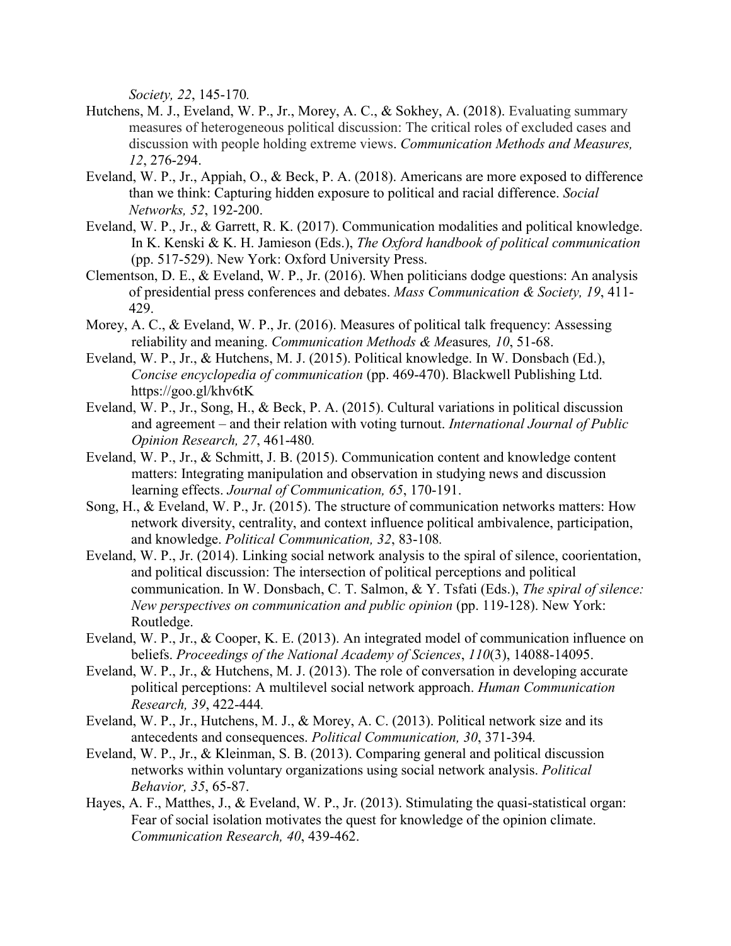*Society, 22*, 145-170*.*

- Hutchens, M. J., Eveland, W. P., Jr., Morey, A. C., & Sokhey, A. (2018). Evaluating summary measures of heterogeneous political discussion: The critical roles of excluded cases and discussion with people holding extreme views. *Communication Methods and Measures, 12*, 276-294.
- Eveland, W. P., Jr., Appiah, O., & Beck, P. A. (2018). Americans are more exposed to difference than we think: Capturing hidden exposure to political and racial difference. *Social Networks, 52*, 192-200.
- Eveland, W. P., Jr., & Garrett, R. K. (2017). Communication modalities and political knowledge. In K. Kenski & K. H. Jamieson (Eds.), *The Oxford handbook of political communication* (pp. 517-529). New York: Oxford University Press.
- Clementson, D. E., & Eveland, W. P., Jr. (2016). When politicians dodge questions: An analysis of presidential press conferences and debates. *Mass Communication & Society, 19*, 411- 429.
- Morey, A. C., & Eveland, W. P., Jr. (2016). Measures of political talk frequency: Assessing reliability and meaning. *Communication Methods & Me*asures*, 10*, 51-68.
- Eveland, W. P., Jr., & Hutchens, M. J. (2015). Political knowledge. In W. Donsbach (Ed.), *Concise encyclopedia of communication* (pp. 469-470). Blackwell Publishing Ltd. https://goo.gl/khv6tK
- Eveland, W. P., Jr., Song, H., & Beck, P. A. (2015). Cultural variations in political discussion and agreement – and their relation with voting turnout. *International Journal of Public Opinion Research, 27*, 461-480*.*
- Eveland, W. P., Jr., & Schmitt, J. B. (2015). Communication content and knowledge content matters: Integrating manipulation and observation in studying news and discussion learning effects. *Journal of Communication, 65*, 170-191.
- Song, H., & Eveland, W. P., Jr. (2015). The structure of communication networks matters: How network diversity, centrality, and context influence political ambivalence, participation, and knowledge. *Political Communication, 32*, 83-108*.*
- Eveland, W. P., Jr. (2014). Linking social network analysis to the spiral of silence, coorientation, and political discussion: The intersection of political perceptions and political communication. In W. Donsbach, C. T. Salmon, & Y. Tsfati (Eds.), *The spiral of silence: New perspectives on communication and public opinion* (pp. 119-128). New York: Routledge.
- Eveland, W. P., Jr., & Cooper, K. E. (2013). An integrated model of communication influence on beliefs. *Proceedings of the National Academy of Sciences*, *110*(3), 14088-14095.
- Eveland, W. P., Jr., & Hutchens, M. J. (2013). The role of conversation in developing accurate political perceptions: A multilevel social network approach. *Human Communication Research, 39*, 422-444*.*
- Eveland, W. P., Jr., Hutchens, M. J., & Morey, A. C. (2013). Political network size and its antecedents and consequences. *Political Communication, 30*, 371-394*.*
- Eveland, W. P., Jr., & Kleinman, S. B. (2013). Comparing general and political discussion networks within voluntary organizations using social network analysis. *Political Behavior, 35*, 65-87.
- Hayes, A. F., Matthes, J., & Eveland, W. P., Jr. (2013). Stimulating the quasi-statistical organ: Fear of social isolation motivates the quest for knowledge of the opinion climate. *Communication Research, 40*, 439-462.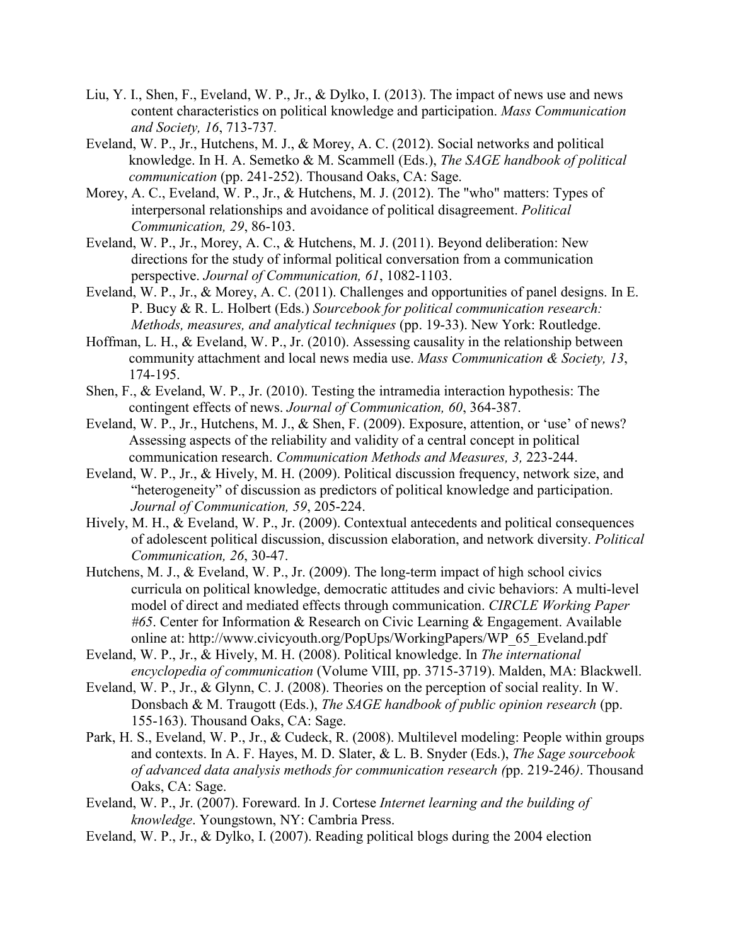- Liu, Y. I., Shen, F., Eveland, W. P., Jr., & Dylko, I. (2013). The impact of news use and news content characteristics on political knowledge and participation. *Mass Communication and Society, 16*, 713-737*.*
- Eveland, W. P., Jr., Hutchens, M. J., & Morey, A. C. (2012). Social networks and political knowledge. In H. A. Semetko & M. Scammell (Eds.), *The SAGE handbook of political communication* (pp. 241-252). Thousand Oaks, CA: Sage.
- Morey, A. C., Eveland, W. P., Jr., & Hutchens, M. J. (2012). The "who" matters: Types of interpersonal relationships and avoidance of political disagreement. *Political Communication, 29*, 86-103.
- Eveland, W. P., Jr., Morey, A. C., & Hutchens, M. J. (2011). Beyond deliberation: New directions for the study of informal political conversation from a communication perspective. *Journal of Communication, 61*, 1082-1103.
- Eveland, W. P., Jr., & Morey, A. C. (2011). Challenges and opportunities of panel designs. In E. P. Bucy & R. L. Holbert (Eds.) *Sourcebook for political communication research: Methods, measures, and analytical techniques* (pp. 19-33). New York: Routledge.
- Hoffman, L. H., & Eveland, W. P., Jr. (2010). Assessing causality in the relationship between community attachment and local news media use. *Mass Communication & Society, 13*, 174-195.
- Shen, F., & Eveland, W. P., Jr. (2010). Testing the intramedia interaction hypothesis: The contingent effects of news. *Journal of Communication, 60*, 364-387.
- Eveland, W. P., Jr., Hutchens, M. J., & Shen, F. (2009). Exposure, attention, or 'use' of news? Assessing aspects of the reliability and validity of a central concept in political communication research. *Communication Methods and Measures, 3,* 223-244.
- Eveland, W. P., Jr., & Hively, M. H. (2009). Political discussion frequency, network size, and "heterogeneity" of discussion as predictors of political knowledge and participation. *Journal of Communication, 59*, 205-224.
- Hively, M. H., & Eveland, W. P., Jr. (2009). Contextual antecedents and political consequences of adolescent political discussion, discussion elaboration, and network diversity. *Political Communication, 26*, 30-47.
- Hutchens, M. J., & Eveland, W. P., Jr. (2009). The long-term impact of high school civics curricula on political knowledge, democratic attitudes and civic behaviors: A multi-level model of direct and mediated effects through communication. *CIRCLE Working Paper #65*. Center for Information & Research on Civic Learning & Engagement. Available online at: http://www.civicyouth.org/PopUps/WorkingPapers/WP\_65\_Eveland.pdf
- Eveland, W. P., Jr., & Hively, M. H. (2008). Political knowledge. In *The international encyclopedia of communication* (Volume VIII, pp. 3715-3719). Malden, MA: Blackwell.
- Eveland, W. P., Jr., & Glynn, C. J. (2008). Theories on the perception of social reality. In W. Donsbach & M. Traugott (Eds.), *The SAGE handbook of public opinion research* (pp. 155-163). Thousand Oaks, CA: Sage.
- Park, H. S., Eveland, W. P., Jr., & Cudeck, R. (2008). Multilevel modeling: People within groups and contexts. In A. F. Hayes, M. D. Slater, & L. B. Snyder (Eds.), *The Sage sourcebook of advanced data analysis methods for communication research (*pp. 219-246*)*. Thousand Oaks, CA: Sage.
- Eveland, W. P., Jr. (2007). Foreward. In J. Cortese *Internet learning and the building of knowledge*. Youngstown, NY: Cambria Press.
- Eveland, W. P., Jr., & Dylko, I. (2007). Reading political blogs during the 2004 election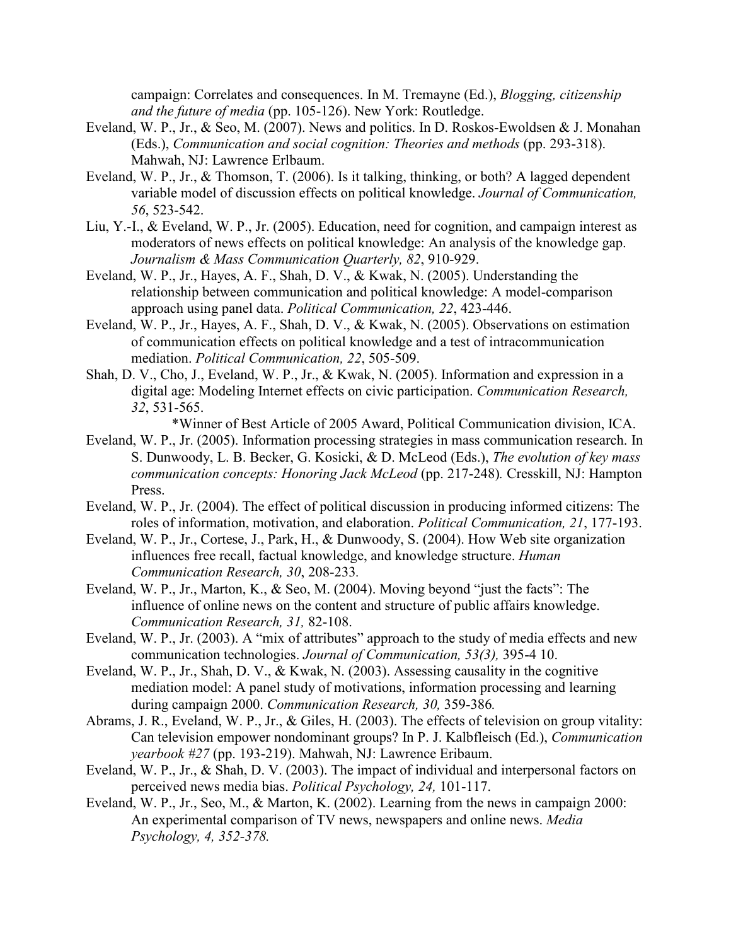campaign: Correlates and consequences. In M. Tremayne (Ed.), *Blogging, citizenship and the future of media* (pp. 105-126). New York: Routledge.

- Eveland, W. P., Jr., & Seo, M. (2007). News and politics. In D. Roskos-Ewoldsen & J. Monahan (Eds.), *Communication and social cognition: Theories and methods* (pp. 293-318). Mahwah, NJ: Lawrence Erlbaum.
- Eveland, W. P., Jr., & Thomson, T. (2006). Is it talking, thinking, or both? A lagged dependent variable model of discussion effects on political knowledge. *Journal of Communication, 56*, 523-542.
- Liu, Y.-I., & Eveland, W. P., Jr. (2005). Education, need for cognition, and campaign interest as moderators of news effects on political knowledge: An analysis of the knowledge gap. *Journalism & Mass Communication Quarterly, 82*, 910-929.
- Eveland, W. P., Jr., Hayes, A. F., Shah, D. V., & Kwak, N. (2005). Understanding the relationship between communication and political knowledge: A model-comparison approach using panel data. *Political Communication, 22*, 423-446.
- Eveland, W. P., Jr., Hayes, A. F., Shah, D. V., & Kwak, N. (2005). Observations on estimation of communication effects on political knowledge and a test of intracommunication mediation. *Political Communication, 22*, 505-509.
- Shah, D. V., Cho, J., Eveland, W. P., Jr., & Kwak, N. (2005). Information and expression in a digital age: Modeling Internet effects on civic participation. *Communication Research, 32*, 531-565.

\*Winner of Best Article of 2005 Award, Political Communication division, ICA.

- Eveland, W. P., Jr. (2005). Information processing strategies in mass communication research. In S. Dunwoody, L. B. Becker, G. Kosicki, & D. McLeod (Eds.), *The evolution of key mass communication concepts: Honoring Jack McLeod* (pp. 217-248)*.* Cresskill, NJ: Hampton Press.
- Eveland, W. P., Jr. (2004). The effect of political discussion in producing informed citizens: The roles of information, motivation, and elaboration. *Political Communication, 21*, 177-193.
- Eveland, W. P., Jr., Cortese, J., Park, H., & Dunwoody, S. (2004). How Web site organization influences free recall, factual knowledge, and knowledge structure. *Human Communication Research, 30*, 208-233*.*
- Eveland, W. P., Jr., Marton, K., & Seo, M. (2004). Moving beyond "just the facts": The influence of online news on the content and structure of public affairs knowledge. *Communication Research, 31,* 82-108.
- Eveland, W. P., Jr. (2003). A "mix of attributes" approach to the study of media effects and new communication technologies. *Journal of Communication, 53(3),* 395-4 10.
- Eveland, W. P., Jr., Shah, D. V., & Kwak, N. (2003). Assessing causality in the cognitive mediation model: A panel study of motivations, information processing and learning during campaign 2000. *Communication Research, 30,* 359-386*.*
- Abrams, J. R., Eveland, W. P., Jr., & Giles, H. (2003). The effects of television on group vitality: Can television empower nondominant groups? In P. J. Kalbfleisch (Ed.), *Communication yearbook #27* (pp. 193-219). Mahwah, NJ: Lawrence Eribaum.
- Eveland, W. P., Jr., & Shah, D. V. (2003). The impact of individual and interpersonal factors on perceived news media bias. *Political Psychology, 24,* 101-117.
- Eveland, W. P., Jr., Seo, M., & Marton, K. (2002). Learning from the news in campaign 2000: An experimental comparison of TV news, newspapers and online news. *Media Psychology, 4, 352-378.*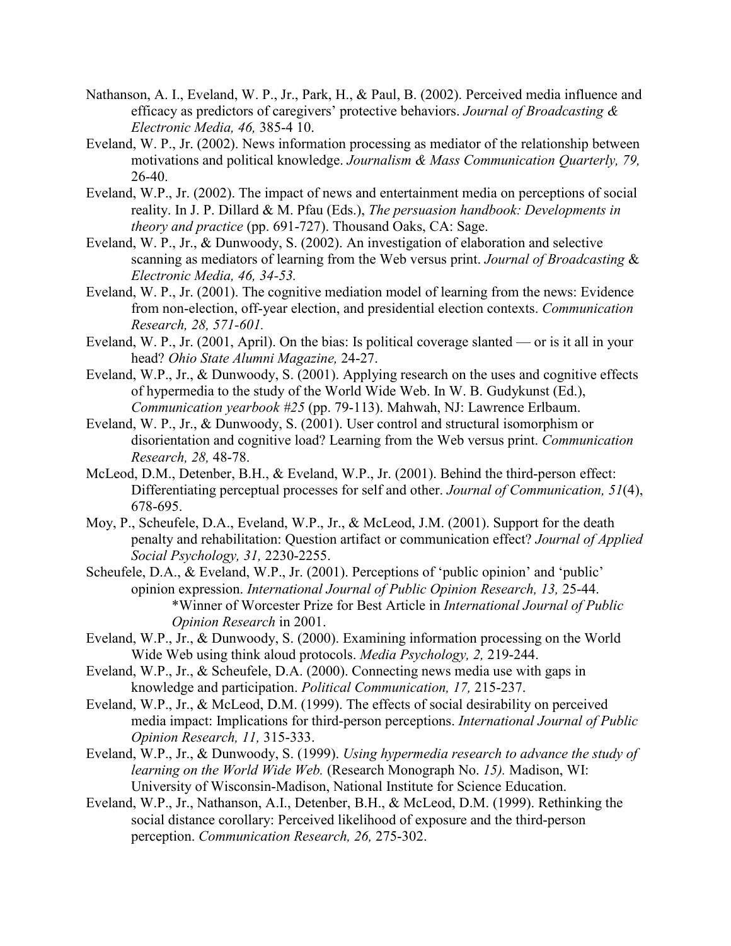- Nathanson, A. I., Eveland, W. P., Jr., Park, H., & Paul, B. (2002). Perceived media influence and efficacy as predictors of caregivers' protective behaviors. *Journal of Broadcasting & Electronic Media, 46,* 385-4 10.
- Eveland, W. P., Jr. (2002). News information processing as mediator of the relationship between motivations and political knowledge. *Journalism & Mass Communication Quarterly, 79,*  26-40.
- Eveland, W.P., Jr. (2002). The impact of news and entertainment media on perceptions of social reality. In J. P. Dillard & M. Pfau (Eds.), *The persuasion handbook: Developments in theory and practice* (pp. 691-727). Thousand Oaks, CA: Sage.
- Eveland, W. P., Jr., & Dunwoody, S. (2002). An investigation of elaboration and selective scanning as mediators of learning from the Web versus print. *Journal of Broadcasting* & *Electronic Media, 46, 34-53.*
- Eveland, W. P., Jr. (2001). The cognitive mediation model of learning from the news: Evidence from non-election, off-year election, and presidential election contexts. *Communication Research, 28, 571-601.*
- Eveland, W. P., Jr. (2001, April). On the bias: Is political coverage slanted or is it all in your head? *Ohio State Alumni Magazine,* 24-27.
- Eveland, W.P., Jr., & Dunwoody, S. (2001). Applying research on the uses and cognitive effects of hypermedia to the study of the World Wide Web. In W. B. Gudykunst (Ed.), *Communication yearbook #25* (pp. 79-113). Mahwah, NJ: Lawrence Erlbaum.
- Eveland, W. P., Jr., & Dunwoody, S. (2001). User control and structural isomorphism or disorientation and cognitive load? Learning from the Web versus print. *Communication Research, 28,* 48-78.
- McLeod, D.M., Detenber, B.H., & Eveland, W.P., Jr. (2001). Behind the third-person effect: Differentiating perceptual processes for self and other. *Journal of Communication, 51*(4), 678-695.
- Moy, P., Scheufele, D.A., Eveland, W.P., Jr., & McLeod, J.M. (2001). Support for the death penalty and rehabilitation: Question artifact or communication effect? *Journal of Applied Social Psychology, 31,* 2230-2255.
- Scheufele, D.A., & Eveland, W.P., Jr. (2001). Perceptions of 'public opinion' and 'public' opinion expression. *International Journal of Public Opinion Research, 13,* 25-44. \*Winner of Worcester Prize for Best Article in *International Journal of Public Opinion Research* in 2001.
- Eveland, W.P., Jr., & Dunwoody, S. (2000). Examining information processing on the World Wide Web using think aloud protocols. *Media Psychology, 2,* 219-244.
- Eveland, W.P., Jr., & Scheufele, D.A. (2000). Connecting news media use with gaps in knowledge and participation. *Political Communication, 17,* 215-237.
- Eveland, W.P., Jr., & McLeod, D.M. (1999). The effects of social desirability on perceived media impact: Implications for third-person perceptions. *International Journal of Public Opinion Research, 11,* 315-333.
- Eveland, W.P., Jr., & Dunwoody, S. (1999). *Using hypermedia research to advance the study of learning on the World Wide Web.* (Research Monograph No. *15).* Madison, WI: University of Wisconsin-Madison, National Institute for Science Education.
- Eveland, W.P., Jr., Nathanson, A.I., Detenber, B.H., & McLeod, D.M. (1999). Rethinking the social distance corollary: Perceived likelihood of exposure and the third-person perception. *Communication Research, 26,* 275-302.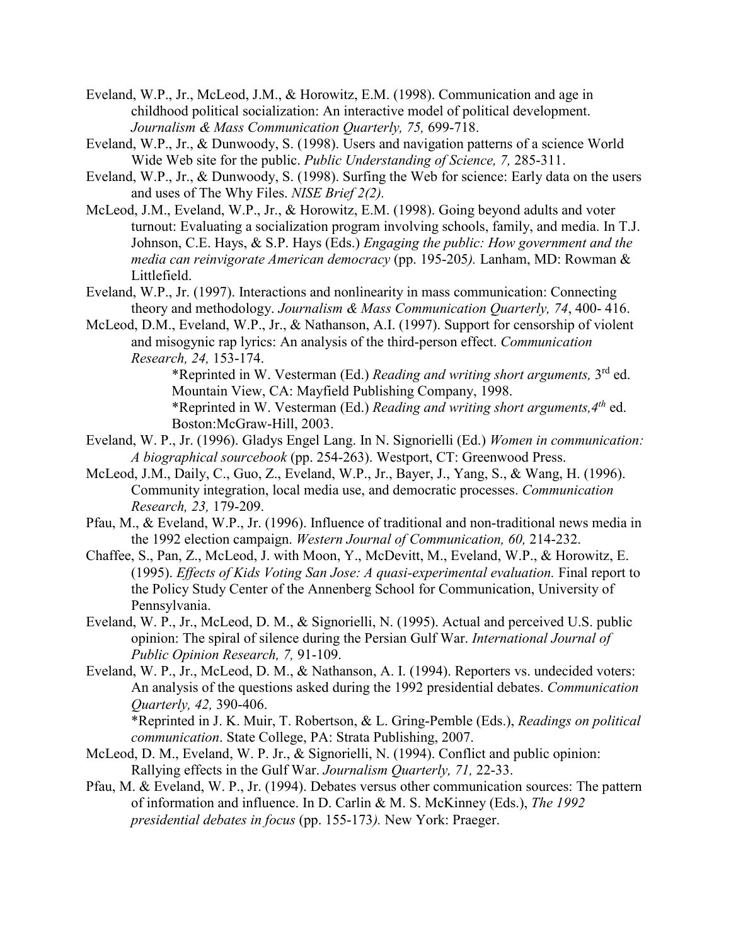- Eveland, W.P., Jr., McLeod, J.M., & Horowitz, E.M. (1998). Communication and age in childhood political socialization: An interactive model of political development. *Journalism & Mass Communication Quarterly, 75,* 699-718.
- Eveland, W.P., Jr., & Dunwoody, S. (1998). Users and navigation patterns of a science World Wide Web site for the public. *Public Understanding of Science, 7,* 285-311.
- Eveland, W.P., Jr., & Dunwoody, S. (1998). Surfing the Web for science: Early data on the users and uses of The Why Files. *NISE Brief 2(2).*
- McLeod, J.M., Eveland, W.P., Jr., & Horowitz, E.M. (1998). Going beyond adults and voter turnout: Evaluating a socialization program involving schools, family, and media. In T.J. Johnson, C.E. Hays, & S.P. Hays (Eds.) *Engaging the public: How government and the media can reinvigorate American democracy* (pp. 195-205*).* Lanham, MD: Rowman & Littlefield.
- Eveland, W.P., Jr. (1997). Interactions and nonlinearity in mass communication: Connecting theory and methodology. *Journalism & Mass Communication Quarterly, 74*, 400- 416.
- McLeod, D.M., Eveland, W.P., Jr., & Nathanson, A.I. (1997). Support for censorship of violent and misogynic rap lyrics: An analysis of the third-person effect. *Communication Research, 24,* 153-174.

\*Reprinted in W. Vesterman (Ed.) *Reading and writing short arguments,* 3rd ed. Mountain View, CA: Mayfield Publishing Company, 1998. \*Reprinted in W. Vesterman (Ed.) *Reading and writing short arguments,4th* ed. Boston:McGraw-Hill, 2003.

- Eveland, W. P., Jr. (1996). Gladys Engel Lang. In N. Signorielli (Ed.) *Women in communication: A biographical sourcebook* (pp. 254-263). Westport, CT: Greenwood Press.
- McLeod, J.M., Daily, C., Guo, Z., Eveland, W.P., Jr., Bayer, J., Yang, S., & Wang, H. (1996). Community integration, local media use, and democratic processes. *Communication Research, 23,* 179-209.
- Pfau, M., & Eveland, W.P., Jr. (1996). Influence of traditional and non-traditional news media in the 1992 election campaign. *Western Journal of Communication, 60,* 214-232.
- Chaffee, S., Pan, Z., McLeod, J. with Moon, Y., McDevitt, M., Eveland, W.P., & Horowitz, E. (1995). *Effects of Kids Voting San Jose: A quasi-experimental evaluation.* Final report to the Policy Study Center of the Annenberg School for Communication, University of Pennsylvania.
- Eveland, W. P., Jr., McLeod, D. M., & Signorielli, N. (1995). Actual and perceived U.S. public opinion: The spiral of silence during the Persian Gulf War. *International Journal of Public Opinion Research, 7,* 91-109.
- Eveland, W. P., Jr., McLeod, D. M., & Nathanson, A. I. (1994). Reporters vs. undecided voters: An analysis of the questions asked during the 1992 presidential debates. *Communication Quarterly, 42,* 390-406. \*Reprinted in J. K. Muir, T. Robertson, & L. Gring-Pemble (Eds.), *Readings on political communication*. State College, PA: Strata Publishing, 2007.
- McLeod, D. M., Eveland, W. P. Jr., & Signorielli, N. (1994). Conflict and public opinion: Rallying effects in the Gulf War. *Journalism Quarterly, 71,* 22-33.
- Pfau, M. & Eveland, W. P., Jr. (1994). Debates versus other communication sources: The pattern of information and influence. In D. Carlin & M. S. McKinney (Eds.), *The 1992 presidential debates in focus* (pp. 155-173*).* New York: Praeger.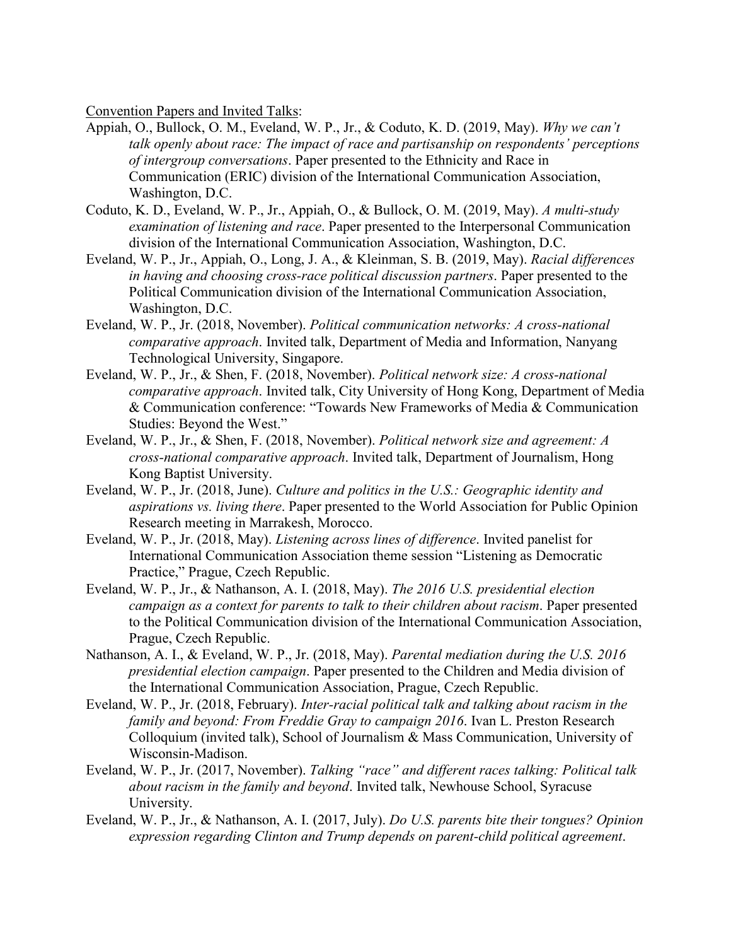Convention Papers and Invited Talks:

- Appiah, O., Bullock, O. M., Eveland, W. P., Jr., & Coduto, K. D. (2019, May). *Why we can't talk openly about race: The impact of race and partisanship on respondents' perceptions of intergroup conversations*. Paper presented to the Ethnicity and Race in Communication (ERIC) division of the International Communication Association, Washington, D.C.
- Coduto, K. D., Eveland, W. P., Jr., Appiah, O., & Bullock, O. M. (2019, May). *A multi-study examination of listening and race*. Paper presented to the Interpersonal Communication division of the International Communication Association, Washington, D.C.
- Eveland, W. P., Jr., Appiah, O., Long, J. A., & Kleinman, S. B. (2019, May). *Racial differences in having and choosing cross-race political discussion partners*. Paper presented to the Political Communication division of the International Communication Association, Washington, D.C.
- Eveland, W. P., Jr. (2018, November). *Political communication networks: A cross-national comparative approach*. Invited talk, Department of Media and Information, Nanyang Technological University, Singapore.
- Eveland, W. P., Jr., & Shen, F. (2018, November). *Political network size: A cross-national comparative approach*. Invited talk, City University of Hong Kong, Department of Media & Communication conference: "Towards New Frameworks of Media & Communication Studies: Beyond the West."
- Eveland, W. P., Jr., & Shen, F. (2018, November). *Political network size and agreement: A cross-national comparative approach*. Invited talk, Department of Journalism, Hong Kong Baptist University.
- Eveland, W. P., Jr. (2018, June). *Culture and politics in the U.S.: Geographic identity and aspirations vs. living there*. Paper presented to the World Association for Public Opinion Research meeting in Marrakesh, Morocco.
- Eveland, W. P., Jr. (2018, May). *Listening across lines of difference*. Invited panelist for International Communication Association theme session "Listening as Democratic Practice," Prague, Czech Republic.
- Eveland, W. P., Jr., & Nathanson, A. I. (2018, May). *The 2016 U.S. presidential election campaign as a context for parents to talk to their children about racism*. Paper presented to the Political Communication division of the International Communication Association, Prague, Czech Republic.
- Nathanson, A. I., & Eveland, W. P., Jr. (2018, May). *Parental mediation during the U.S. 2016 presidential election campaign*. Paper presented to the Children and Media division of the International Communication Association, Prague, Czech Republic.
- Eveland, W. P., Jr. (2018, February). *Inter-racial political talk and talking about racism in the family and beyond: From Freddie Gray to campaign 2016*. Ivan L. Preston Research Colloquium (invited talk), School of Journalism & Mass Communication, University of Wisconsin-Madison.
- Eveland, W. P., Jr. (2017, November). *Talking "race" and different races talking: Political talk about racism in the family and beyond*. Invited talk, Newhouse School, Syracuse University.
- Eveland, W. P., Jr., & Nathanson, A. I. (2017, July). *Do U.S. parents bite their tongues? Opinion expression regarding Clinton and Trump depends on parent-child political agreement*.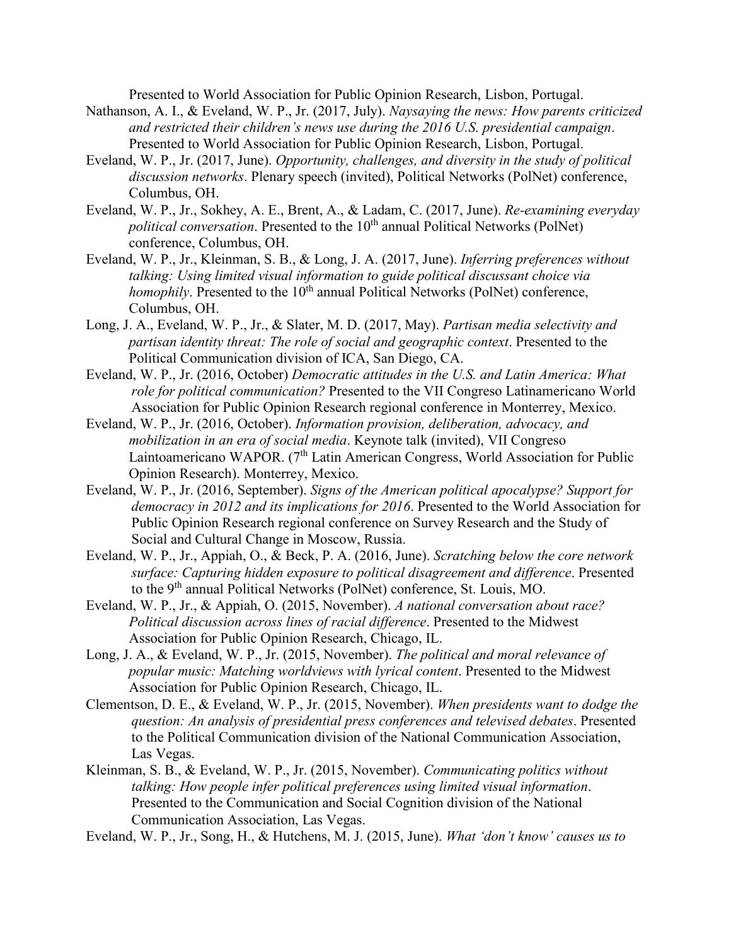Presented to World Association for Public Opinion Research, Lisbon, Portugal.

- Nathanson, A. I., & Eveland, W. P., Jr. (2017, July). *Naysaying the news: How parents criticized and restricted their children's news use during the 2016 U.S. presidential campaign*. Presented to World Association for Public Opinion Research, Lisbon, Portugal.
- Eveland, W. P., Jr. (2017, June). *Opportunity, challenges, and diversity in the study of political discussion networks*. Plenary speech (invited), Political Networks (PolNet) conference, Columbus, OH.
- Eveland, W. P., Jr., Sokhey, A. E., Brent, A., & Ladam, C. (2017, June). *Re-examining everyday political conversation*. Presented to the 10<sup>th</sup> annual Political Networks (PolNet) conference, Columbus, OH.
- Eveland, W. P., Jr., Kleinman, S. B., & Long, J. A. (2017, June). *Inferring preferences without talking: Using limited visual information to guide political discussant choice via homophily*. Presented to the  $10^{th}$  annual Political Networks (PolNet) conference, Columbus, OH.
- Long, J. A., Eveland, W. P., Jr., & Slater, M. D. (2017, May). *Partisan media selectivity and partisan identity threat: The role of social and geographic context*. Presented to the Political Communication division of ICA, San Diego, CA.
- Eveland, W. P., Jr. (2016, October) *Democratic attitudes in the U.S. and Latin America: What role for political communication?* Presented to the VII Congreso Latinamericano World Association for Public Opinion Research regional conference in Monterrey, Mexico.
- Eveland, W. P., Jr. (2016, October). *Information provision, deliberation, advocacy, and mobilization in an era of social media*. Keynote talk (invited), VII Congreso Laintoamericano WAPOR. (7<sup>th</sup> Latin American Congress, World Association for Public Opinion Research). Monterrey, Mexico.
- Eveland, W. P., Jr. (2016, September). *Signs of the American political apocalypse? Support for democracy in 2012 and its implications for 2016*. Presented to the World Association for Public Opinion Research regional conference on Survey Research and the Study of Social and Cultural Change in Moscow, Russia.
- Eveland, W. P., Jr., Appiah, O., & Beck, P. A. (2016, June). *Scratching below the core network surface: Capturing hidden exposure to political disagreement and difference*. Presented to the 9th annual Political Networks (PolNet) conference, St. Louis, MO.
- Eveland, W. P., Jr., & Appiah, O. (2015, November). *A national conversation about race? Political discussion across lines of racial difference*. Presented to the Midwest Association for Public Opinion Research, Chicago, IL.
- Long, J. A., & Eveland, W. P., Jr. (2015, November). *The political and moral relevance of popular music: Matching worldviews with lyrical content*. Presented to the Midwest Association for Public Opinion Research, Chicago, IL.
- Clementson, D. E., & Eveland, W. P., Jr. (2015, November). *When presidents want to dodge the question: An analysis of presidential press conferences and televised debates*. Presented to the Political Communication division of the National Communication Association, Las Vegas.
- Kleinman, S. B., & Eveland, W. P., Jr. (2015, November). *Communicating politics without talking: How people infer political preferences using limited visual information*. Presented to the Communication and Social Cognition division of the National Communication Association, Las Vegas.
- Eveland, W. P., Jr., Song, H., & Hutchens, M. J. (2015, June). *What 'don't know' causes us to*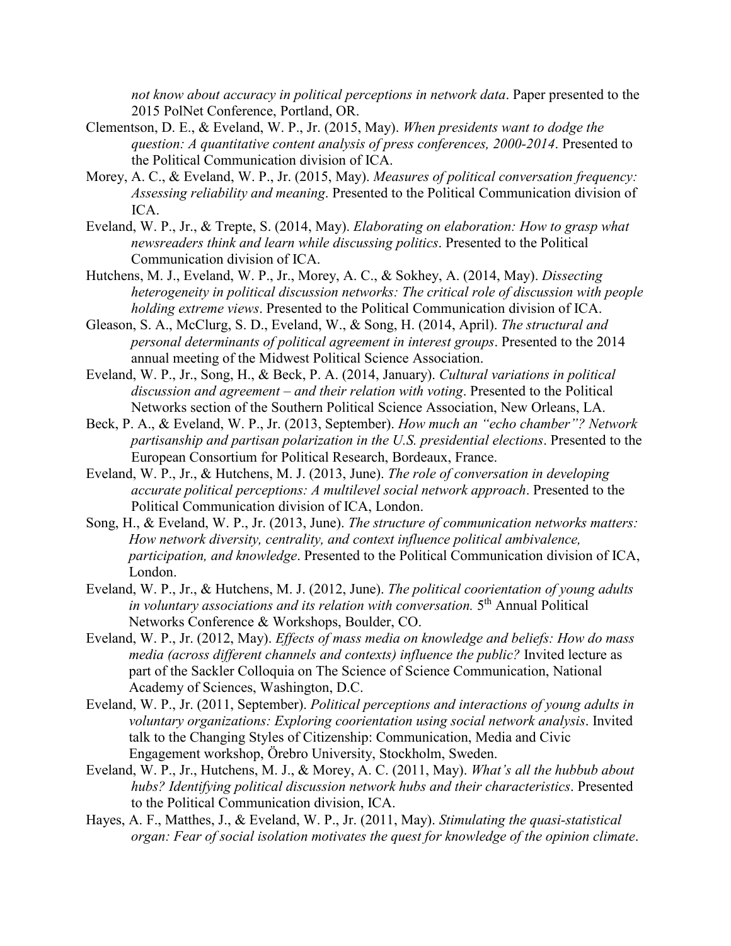*not know about accuracy in political perceptions in network data*. Paper presented to the 2015 PolNet Conference, Portland, OR.

- Clementson, D. E., & Eveland, W. P., Jr. (2015, May). *When presidents want to dodge the question: A quantitative content analysis of press conferences, 2000-2014*. Presented to the Political Communication division of ICA.
- Morey, A. C., & Eveland, W. P., Jr. (2015, May). *Measures of political conversation frequency: Assessing reliability and meaning*. Presented to the Political Communication division of ICA.
- Eveland, W. P., Jr., & Trepte, S. (2014, May). *Elaborating on elaboration: How to grasp what newsreaders think and learn while discussing politics*. Presented to the Political Communication division of ICA.
- Hutchens, M. J., Eveland, W. P., Jr., Morey, A. C., & Sokhey, A. (2014, May). *Dissecting heterogeneity in political discussion networks: The critical role of discussion with people holding extreme views*. Presented to the Political Communication division of ICA.
- Gleason, S. A., McClurg, S. D., Eveland, W., & Song, H. (2014, April). *The structural and personal determinants of political agreement in interest groups*. Presented to the 2014 annual meeting of the Midwest Political Science Association.
- Eveland, W. P., Jr., Song, H., & Beck, P. A. (2014, January). *Cultural variations in political discussion and agreement – and their relation with voting*. Presented to the Political Networks section of the Southern Political Science Association, New Orleans, LA.
- Beck, P. A., & Eveland, W. P., Jr. (2013, September). *How much an "echo chamber"? Network partisanship and partisan polarization in the U.S. presidential elections*. Presented to the European Consortium for Political Research, Bordeaux, France.
- Eveland, W. P., Jr., & Hutchens, M. J. (2013, June). *The role of conversation in developing accurate political perceptions: A multilevel social network approach*. Presented to the Political Communication division of ICA, London.
- Song, H., & Eveland, W. P., Jr. (2013, June). *The structure of communication networks matters: How network diversity, centrality, and context influence political ambivalence, participation, and knowledge*. Presented to the Political Communication division of ICA, London.
- Eveland, W. P., Jr., & Hutchens, M. J. (2012, June). *The political coorientation of young adults in voluntary associations and its relation with conversation.* 5th Annual Political Networks Conference & Workshops, Boulder, CO.
- Eveland, W. P., Jr. (2012, May). *Effects of mass media on knowledge and beliefs: How do mass media (across different channels and contexts) influence the public?* Invited lecture as part of the Sackler Colloquia on The Science of Science Communication, National Academy of Sciences, Washington, D.C.
- Eveland, W. P., Jr. (2011, September). *Political perceptions and interactions of young adults in voluntary organizations: Exploring coorientation using social network analysis*. Invited talk to the Changing Styles of Citizenship: Communication, Media and Civic Engagement workshop, Örebro University, Stockholm, Sweden.
- Eveland, W. P., Jr., Hutchens, M. J., & Morey, A. C. (2011, May). *What's all the hubbub about hubs? Identifying political discussion network hubs and their characteristics*. Presented to the Political Communication division, ICA.
- Hayes, A. F., Matthes, J., & Eveland, W. P., Jr. (2011, May). *Stimulating the quasi-statistical organ: Fear of social isolation motivates the quest for knowledge of the opinion climate*.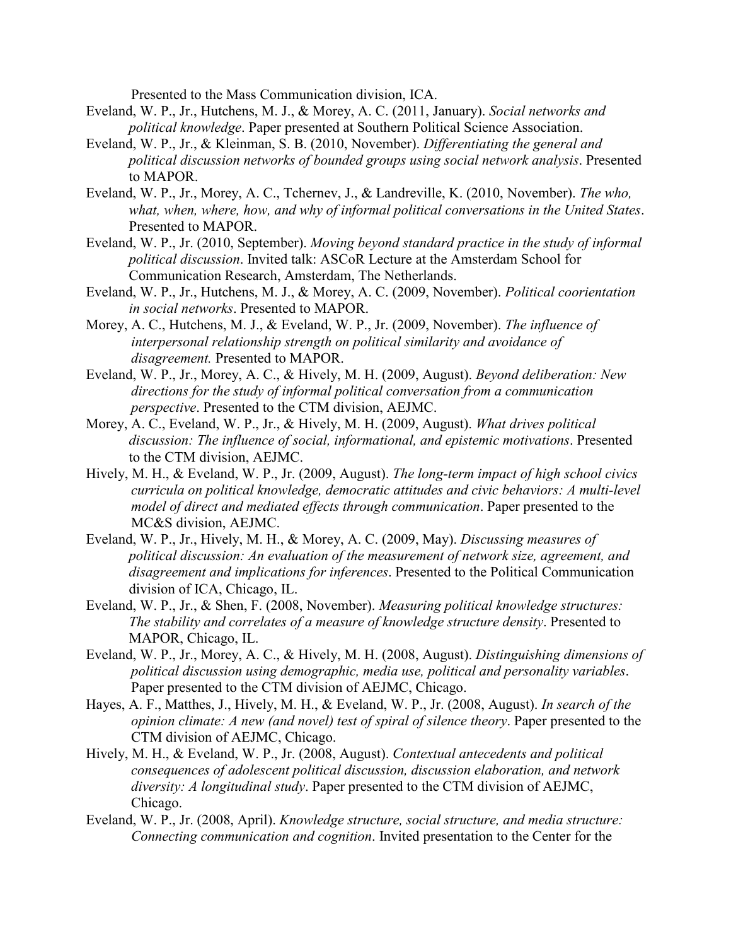Presented to the Mass Communication division, ICA.

- Eveland, W. P., Jr., Hutchens, M. J., & Morey, A. C. (2011, January). *Social networks and political knowledge*. Paper presented at Southern Political Science Association.
- Eveland, W. P., Jr., & Kleinman, S. B. (2010, November). *Differentiating the general and political discussion networks of bounded groups using social network analysis*. Presented to MAPOR.
- Eveland, W. P., Jr., Morey, A. C., Tchernev, J., & Landreville, K. (2010, November). *The who, what, when, where, how, and why of informal political conversations in the United States*. Presented to MAPOR.
- Eveland, W. P., Jr. (2010, September). *Moving beyond standard practice in the study of informal political discussion*. Invited talk: ASCoR Lecture at the Amsterdam School for Communication Research, Amsterdam, The Netherlands.
- Eveland, W. P., Jr., Hutchens, M. J., & Morey, A. C. (2009, November). *Political coorientation in social networks*. Presented to MAPOR.
- Morey, A. C., Hutchens, M. J., & Eveland, W. P., Jr. (2009, November). *The influence of interpersonal relationship strength on political similarity and avoidance of disagreement.* Presented to MAPOR.
- Eveland, W. P., Jr., Morey, A. C., & Hively, M. H. (2009, August). *Beyond deliberation: New directions for the study of informal political conversation from a communication perspective*. Presented to the CTM division, AEJMC.
- Morey, A. C., Eveland, W. P., Jr., & Hively, M. H. (2009, August). *What drives political discussion: The influence of social, informational, and epistemic motivations*. Presented to the CTM division, AEJMC.
- Hively, M. H., & Eveland, W. P., Jr. (2009, August). *The long-term impact of high school civics curricula on political knowledge, democratic attitudes and civic behaviors: A multi-level model of direct and mediated effects through communication*. Paper presented to the MC&S division, AEJMC.
- Eveland, W. P., Jr., Hively, M. H., & Morey, A. C. (2009, May). *Discussing measures of political discussion: An evaluation of the measurement of network size, agreement, and disagreement and implications for inferences*. Presented to the Political Communication division of ICA, Chicago, IL.
- Eveland, W. P., Jr., & Shen, F. (2008, November). *Measuring political knowledge structures: The stability and correlates of a measure of knowledge structure density*. Presented to MAPOR, Chicago, IL.
- Eveland, W. P., Jr., Morey, A. C., & Hively, M. H. (2008, August). *Distinguishing dimensions of political discussion using demographic, media use, political and personality variables*. Paper presented to the CTM division of AEJMC, Chicago.
- Hayes, A. F., Matthes, J., Hively, M. H., & Eveland, W. P., Jr. (2008, August). *In search of the opinion climate: A new (and novel) test of spiral of silence theory*. Paper presented to the CTM division of AEJMC, Chicago.
- Hively, M. H., & Eveland, W. P., Jr. (2008, August). *Contextual antecedents and political consequences of adolescent political discussion, discussion elaboration, and network diversity: A longitudinal study*. Paper presented to the CTM division of AEJMC, Chicago.
- Eveland, W. P., Jr. (2008, April). *Knowledge structure, social structure, and media structure: Connecting communication and cognition*. Invited presentation to the Center for the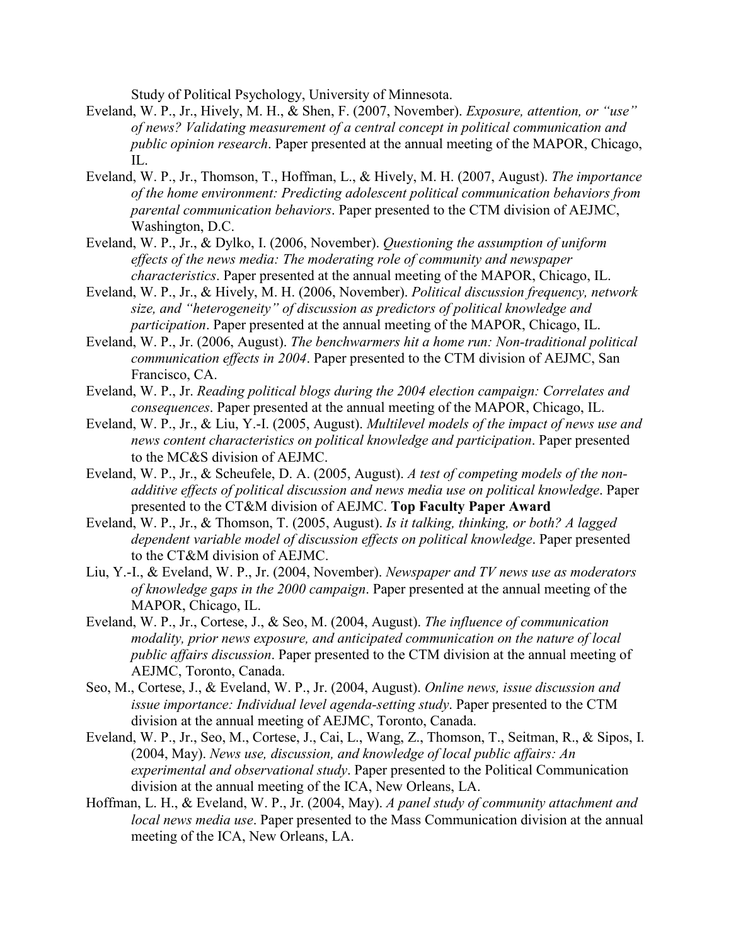Study of Political Psychology, University of Minnesota.

- Eveland, W. P., Jr., Hively, M. H., & Shen, F. (2007, November). *Exposure, attention, or "use" of news? Validating measurement of a central concept in political communication and public opinion research*. Paper presented at the annual meeting of the MAPOR, Chicago, IL.
- Eveland, W. P., Jr., Thomson, T., Hoffman, L., & Hively, M. H. (2007, August). *The importance of the home environment: Predicting adolescent political communication behaviors from parental communication behaviors*. Paper presented to the CTM division of AEJMC, Washington, D.C.
- Eveland, W. P., Jr., & Dylko, I. (2006, November). *Questioning the assumption of uniform effects of the news media: The moderating role of community and newspaper characteristics*. Paper presented at the annual meeting of the MAPOR, Chicago, IL.
- Eveland, W. P., Jr., & Hively, M. H. (2006, November). *Political discussion frequency, network size, and "heterogeneity" of discussion as predictors of political knowledge and participation*. Paper presented at the annual meeting of the MAPOR, Chicago, IL.
- Eveland, W. P., Jr. (2006, August). *The benchwarmers hit a home run: Non-traditional political communication effects in 2004*. Paper presented to the CTM division of AEJMC, San Francisco, CA.
- Eveland, W. P., Jr. *Reading political blogs during the 2004 election campaign: Correlates and consequences*. Paper presented at the annual meeting of the MAPOR, Chicago, IL.
- Eveland, W. P., Jr., & Liu, Y.-I. (2005, August). *Multilevel models of the impact of news use and news content characteristics on political knowledge and participation*. Paper presented to the MC&S division of AEJMC.
- Eveland, W. P., Jr., & Scheufele, D. A. (2005, August). *A test of competing models of the nonadditive effects of political discussion and news media use on political knowledge*. Paper presented to the CT&M division of AEJMC. **Top Faculty Paper Award**
- Eveland, W. P., Jr., & Thomson, T. (2005, August). *Is it talking, thinking, or both? A lagged dependent variable model of discussion effects on political knowledge*. Paper presented to the CT&M division of AEJMC.
- Liu, Y.-I., & Eveland, W. P., Jr. (2004, November). *Newspaper and TV news use as moderators of knowledge gaps in the 2000 campaign*. Paper presented at the annual meeting of the MAPOR, Chicago, IL.
- Eveland, W. P., Jr., Cortese, J., & Seo, M. (2004, August). *The influence of communication modality, prior news exposure, and anticipated communication on the nature of local public affairs discussion*. Paper presented to the CTM division at the annual meeting of AEJMC, Toronto, Canada.
- Seo, M., Cortese, J., & Eveland, W. P., Jr. (2004, August). *Online news, issue discussion and issue importance: Individual level agenda-setting study*. Paper presented to the CTM division at the annual meeting of AEJMC, Toronto, Canada.
- Eveland, W. P., Jr., Seo, M., Cortese, J., Cai, L., Wang, Z., Thomson, T., Seitman, R., & Sipos, I. (2004, May). *News use, discussion, and knowledge of local public affairs: An experimental and observational study*. Paper presented to the Political Communication division at the annual meeting of the ICA, New Orleans, LA.
- Hoffman, L. H., & Eveland, W. P., Jr. (2004, May). *A panel study of community attachment and local news media use*. Paper presented to the Mass Communication division at the annual meeting of the ICA, New Orleans, LA.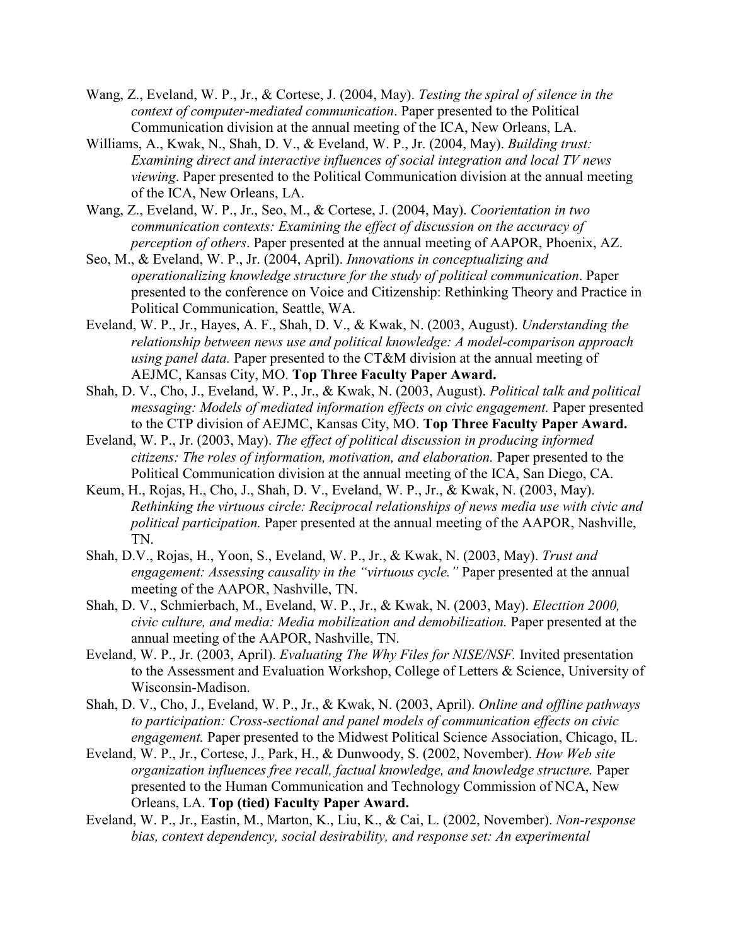- Wang, Z., Eveland, W. P., Jr., & Cortese, J. (2004, May). *Testing the spiral of silence in the context of computer-mediated communication*. Paper presented to the Political Communication division at the annual meeting of the ICA, New Orleans, LA.
- Williams, A., Kwak, N., Shah, D. V., & Eveland, W. P., Jr. (2004, May). *Building trust: Examining direct and interactive influences of social integration and local TV news viewing*. Paper presented to the Political Communication division at the annual meeting of the ICA, New Orleans, LA.
- Wang, Z., Eveland, W. P., Jr., Seo, M., & Cortese, J. (2004, May). *Coorientation in two communication contexts: Examining the effect of discussion on the accuracy of perception of others*. Paper presented at the annual meeting of AAPOR, Phoenix, AZ.
- Seo, M., & Eveland, W. P., Jr. (2004, April). *Innovations in conceptualizing and operationalizing knowledge structure for the study of political communication*. Paper presented to the conference on Voice and Citizenship: Rethinking Theory and Practice in Political Communication, Seattle, WA.
- Eveland, W. P., Jr., Hayes, A. F., Shah, D. V., & Kwak, N. (2003, August). *Understanding the relationship between news use and political knowledge: A model-comparison approach using panel data.* Paper presented to the CT&M division at the annual meeting of AEJMC, Kansas City, MO. **Top Three Faculty Paper Award.**
- Shah, D. V., Cho, J., Eveland, W. P., Jr., & Kwak, N. (2003, August). *Political talk and political messaging: Models of mediated information effects on civic engagement.* Paper presented to the CTP division of AEJMC, Kansas City, MO. **Top Three Faculty Paper Award.**
- Eveland, W. P., Jr. (2003, May). *The effect of political discussion in producing informed citizens: The roles of information, motivation, and elaboration.* Paper presented to the Political Communication division at the annual meeting of the ICA, San Diego, CA.
- Keum, H., Rojas, H., Cho, J., Shah, D. V., Eveland, W. P., Jr., & Kwak, N. (2003, May). *Rethinking the virtuous circle: Reciprocal relationships of news media use with civic and political participation.* Paper presented at the annual meeting of the AAPOR, Nashville, TN.
- Shah, D.V., Rojas, H., Yoon, S., Eveland, W. P., Jr., & Kwak, N. (2003, May). *Trust and engagement: Assessing causality in the "virtuous cycle."* Paper presented at the annual meeting of the AAPOR, Nashville, TN.
- Shah, D. V., Schmierbach, M., Eveland, W. P., Jr., & Kwak, N. (2003, May). *Electtion 2000, civic culture, and media: Media mobilization and demobilization.* Paper presented at the annual meeting of the AAPOR, Nashville, TN.
- Eveland, W. P., Jr. (2003, April). *Evaluating The Why Files for NISE/NSF.* Invited presentation to the Assessment and Evaluation Workshop, College of Letters & Science, University of Wisconsin-Madison.
- Shah, D. V., Cho, J., Eveland, W. P., Jr., & Kwak, N. (2003, April). *Online and offline pathways to participation: Cross-sectional and panel models of communication effects on civic engagement.* Paper presented to the Midwest Political Science Association, Chicago, IL.
- Eveland, W. P., Jr., Cortese, J., Park, H., & Dunwoody, S. (2002, November). *How Web site organization influences free recall, factual knowledge, and knowledge structure.* Paper presented to the Human Communication and Technology Commission of NCA, New Orleans, LA. **Top (tied) Faculty Paper Award.**
- Eveland, W. P., Jr., Eastin, M., Marton, K., Liu, K., & Cai, L. (2002, November). *Non-response bias, context dependency, social desirability, and response set: An experimental*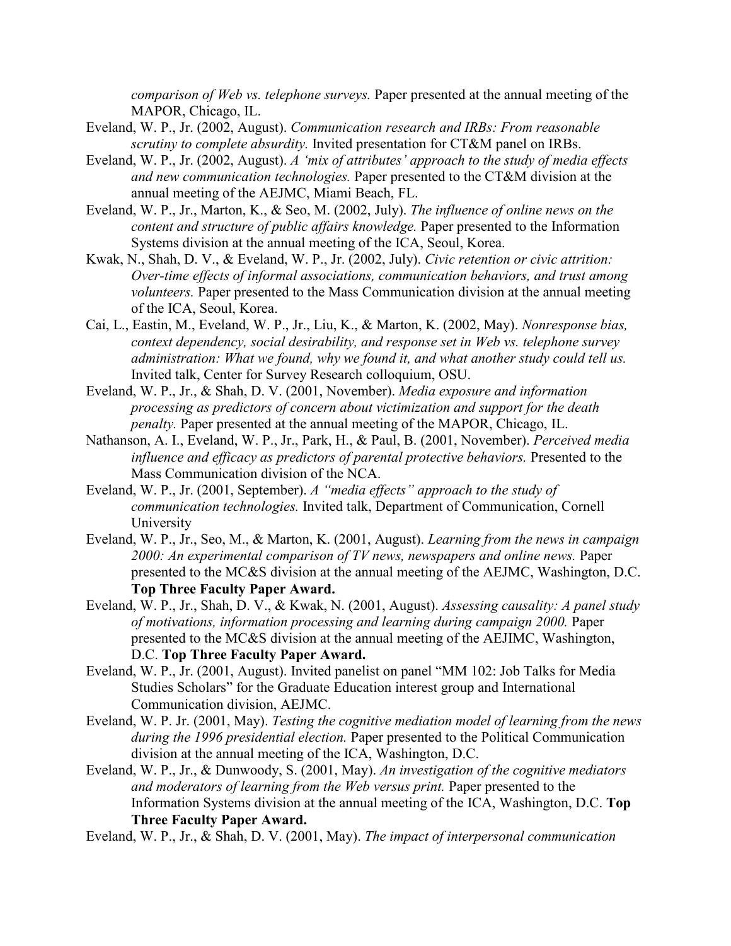*comparison of Web vs. telephone surveys.* Paper presented at the annual meeting of the MAPOR, Chicago, IL.

- Eveland, W. P., Jr. (2002, August). *Communication research and IRBs: From reasonable scrutiny to complete absurdity.* Invited presentation for CT&M panel on IRBs.
- Eveland, W. P., Jr. (2002, August). *A 'mix of attributes' approach to the study of media effects and new communication technologies.* Paper presented to the CT&M division at the annual meeting of the AEJMC, Miami Beach, FL.
- Eveland, W. P., Jr., Marton, K., & Seo, M. (2002, July). *The influence of online news on the content and structure of public affairs knowledge.* Paper presented to the Information Systems division at the annual meeting of the ICA, Seoul, Korea.
- Kwak, N., Shah, D. V., & Eveland, W. P., Jr. (2002, July). *Civic retention or civic attrition: Over-time effects of informal associations, communication behaviors, and trust among volunteers.* Paper presented to the Mass Communication division at the annual meeting of the ICA, Seoul, Korea.
- Cai, L., Eastin, M., Eveland, W. P., Jr., Liu, K., & Marton, K. (2002, May). *Nonresponse bias, context dependency, social desirability, and response set in Web vs. telephone survey administration: What we found, why we found it, and what another study could tell us.*  Invited talk, Center for Survey Research colloquium, OSU.
- Eveland, W. P., Jr., & Shah, D. V. (2001, November). *Media exposure and information processing as predictors of concern about victimization and support for the death penalty.* Paper presented at the annual meeting of the MAPOR, Chicago, IL.
- Nathanson, A. I., Eveland, W. P., Jr., Park, H., & Paul, B. (2001, November). *Perceived media influence and efficacy as predictors of parental protective behaviors.* Presented to the Mass Communication division of the NCA.
- Eveland, W. P., Jr. (2001, September). *A "media effects" approach to the study of communication technologies.* Invited talk, Department of Communication, Cornell University
- Eveland, W. P., Jr., Seo, M., & Marton, K. (2001, August). *Learning from the news in campaign*  2000: An experimental comparison of TV news, newspapers and online news. Paper presented to the MC&S division at the annual meeting of the AEJMC, Washington, D.C. **Top Three Faculty Paper Award.**
- Eveland, W. P., Jr., Shah, D. V., & Kwak, N. (2001, August). *Assessing causality: A panel study of motivations, information processing and learning during campaign 2000.* Paper presented to the MC&S division at the annual meeting of the AEJIMC, Washington, D.C. **Top Three Faculty Paper Award.**
- Eveland, W. P., Jr. (2001, August). Invited panelist on panel "MM 102: Job Talks for Media Studies Scholars" for the Graduate Education interest group and International Communication division, AEJMC.
- Eveland, W. P. Jr. (2001, May). *Testing the cognitive mediation model of learning from the news during the 1996 presidential election.* Paper presented to the Political Communication division at the annual meeting of the ICA, Washington, D.C.
- Eveland, W. P., Jr., & Dunwoody, S. (2001, May). *An investigation of the cognitive mediators and moderators of learning from the Web versus print.* Paper presented to the Information Systems division at the annual meeting of the ICA, Washington, D.C. **Top Three Faculty Paper Award.**
- Eveland, W. P., Jr., & Shah, D. V. (2001, May). *The impact of interpersonal communication*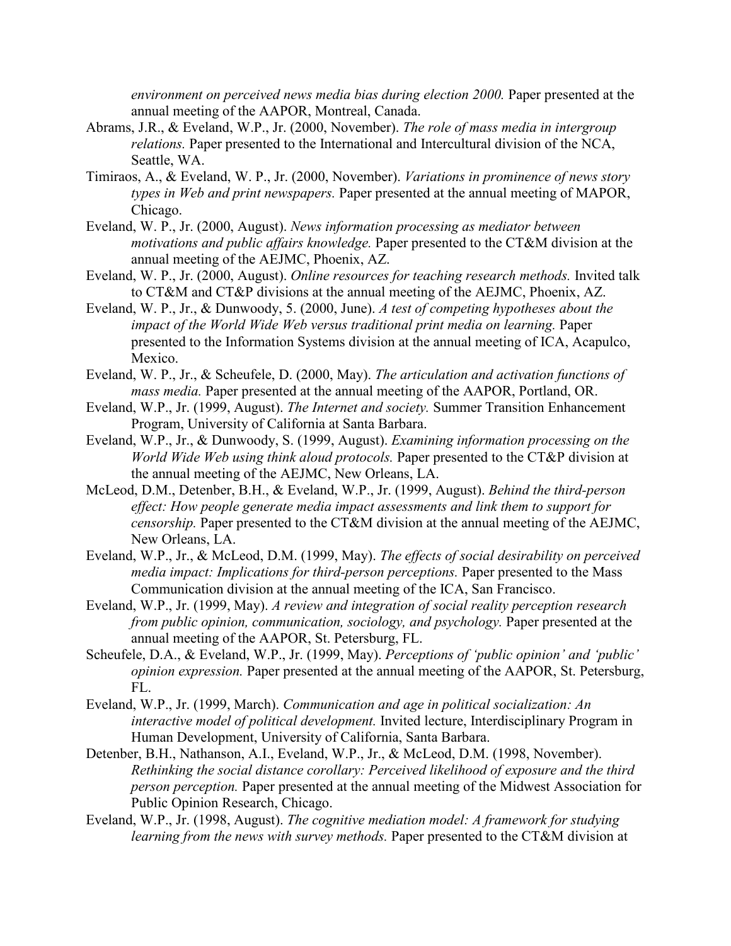*environment on perceived news media bias during election 2000.* Paper presented at the annual meeting of the AAPOR, Montreal, Canada.

- Abrams, J.R., & Eveland, W.P., Jr. (2000, November). *The role of mass media in intergroup relations.* Paper presented to the International and Intercultural division of the NCA, Seattle, WA.
- Timiraos, A., & Eveland, W. P., Jr. (2000, November). *Variations in prominence of news story types in Web and print newspapers.* Paper presented at the annual meeting of MAPOR, Chicago.
- Eveland, W. P., Jr. (2000, August). *News information processing as mediator between motivations and public affairs knowledge.* Paper presented to the CT&M division at the annual meeting of the AEJMC, Phoenix, AZ.
- Eveland, W. P., Jr. (2000, August). *Online resources for teaching research methods.* Invited talk to CT&M and CT&P divisions at the annual meeting of the AEJMC, Phoenix, AZ.
- Eveland, W. P., Jr., & Dunwoody, 5. (2000, June). *A test of competing hypotheses about the impact of the World Wide Web versus traditional print media on learning.* Paper presented to the Information Systems division at the annual meeting of ICA, Acapulco, Mexico.
- Eveland, W. P., Jr., & Scheufele, D. (2000, May). *The articulation and activation functions of mass media.* Paper presented at the annual meeting of the AAPOR, Portland, OR.
- Eveland, W.P., Jr. (1999, August). *The Internet and society.* Summer Transition Enhancement Program, University of California at Santa Barbara.
- Eveland, W.P., Jr., & Dunwoody, S. (1999, August). *Examining information processing on the World Wide Web using think aloud protocols.* Paper presented to the CT&P division at the annual meeting of the AEJMC, New Orleans, LA.
- McLeod, D.M., Detenber, B.H., & Eveland, W.P., Jr. (1999, August). *Behind the third-person effect: How people generate media impact assessments and link them to support for censorship.* Paper presented to the CT&M division at the annual meeting of the AEJMC, New Orleans, LA.
- Eveland, W.P., Jr., & McLeod, D.M. (1999, May). *The effects of social desirability on perceived media impact: Implications for third-person perceptions.* Paper presented to the Mass Communication division at the annual meeting of the ICA, San Francisco.
- Eveland, W.P., Jr. (1999, May). *A review and integration of social reality perception research from public opinion, communication, sociology, and psychology.* Paper presented at the annual meeting of the AAPOR, St. Petersburg, FL.
- Scheufele, D.A., & Eveland, W.P., Jr. (1999, May). *Perceptions of 'public opinion' and 'public' opinion expression.* Paper presented at the annual meeting of the AAPOR, St. Petersburg, FL.
- Eveland, W.P., Jr. (1999, March). *Communication and age in political socialization: An interactive model of political development.* Invited lecture, Interdisciplinary Program in Human Development, University of California, Santa Barbara.
- Detenber, B.H., Nathanson, A.I., Eveland, W.P., Jr., & McLeod, D.M. (1998, November). *Rethinking the social distance corollary: Perceived likelihood of exposure and the third person perception.* Paper presented at the annual meeting of the Midwest Association for Public Opinion Research, Chicago.
- Eveland, W.P., Jr. (1998, August). *The cognitive mediation model: A framework for studying learning from the news with survey methods.* Paper presented to the CT&M division at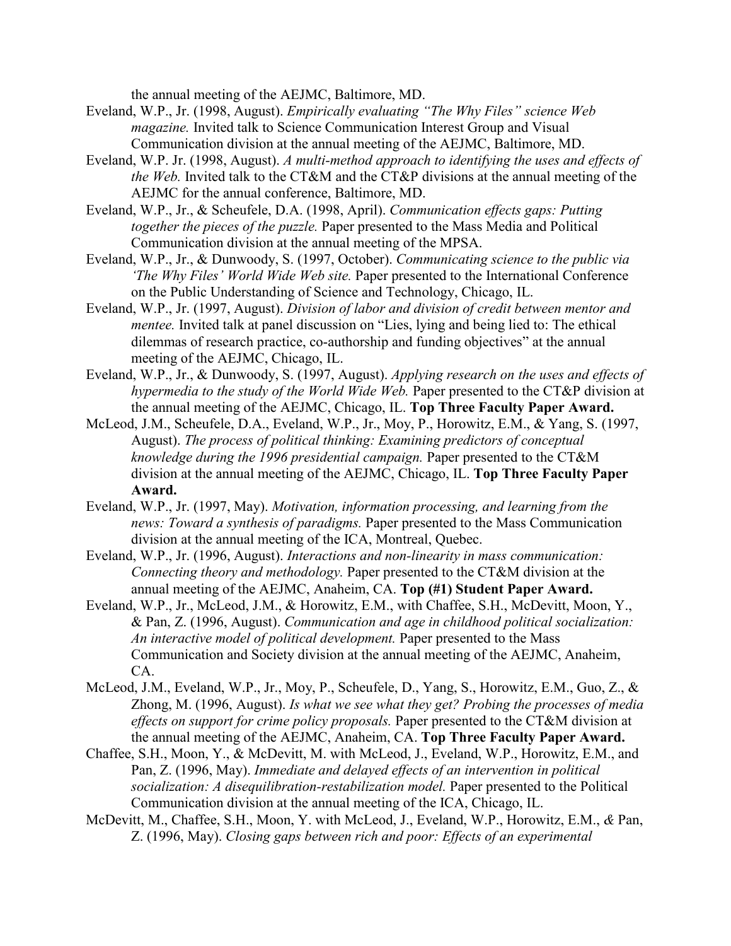the annual meeting of the AEJMC, Baltimore, MD.

- Eveland, W.P., Jr. (1998, August). *Empirically evaluating "The Why Files" science Web magazine.* Invited talk to Science Communication Interest Group and Visual Communication division at the annual meeting of the AEJMC, Baltimore, MD.
- Eveland, W.P. Jr. (1998, August). *A multi-method approach to identifying the uses and effects of the Web.* Invited talk to the CT&M and the CT&P divisions at the annual meeting of the AEJMC for the annual conference, Baltimore, MD.
- Eveland, W.P., Jr., & Scheufele, D.A. (1998, April). *Communication effects gaps: Putting together the pieces of the puzzle.* Paper presented to the Mass Media and Political Communication division at the annual meeting of the MPSA.
- Eveland, W.P., Jr., & Dunwoody, S. (1997, October). *Communicating science to the public via 'The Why Files' World Wide Web site.* Paper presented to the International Conference on the Public Understanding of Science and Technology, Chicago, IL.
- Eveland, W.P., Jr. (1997, August). *Division of labor and division of credit between mentor and mentee.* Invited talk at panel discussion on "Lies, lying and being lied to: The ethical dilemmas of research practice, co-authorship and funding objectives" at the annual meeting of the AEJMC, Chicago, IL.
- Eveland, W.P., Jr., & Dunwoody, S. (1997, August). *Applying research on the uses and effects of hypermedia to the study of the World Wide Web.* Paper presented to the CT&P division at the annual meeting of the AEJMC, Chicago, IL. **Top Three Faculty Paper Award.**
- McLeod, J.M., Scheufele, D.A., Eveland, W.P., Jr., Moy, P., Horowitz, E.M., & Yang, S. (1997, August). *The process of political thinking: Examining predictors of conceptual knowledge during the 1996 presidential campaign.* Paper presented to the CT&M division at the annual meeting of the AEJMC, Chicago, IL. **Top Three Faculty Paper Award.**
- Eveland, W.P., Jr. (1997, May). *Motivation, information processing, and learning from the news: Toward a synthesis of paradigms.* Paper presented to the Mass Communication division at the annual meeting of the ICA, Montreal, Quebec.
- Eveland, W.P., Jr. (1996, August). *Interactions and non-linearity in mass communication: Connecting theory and methodology.* Paper presented to the CT&M division at the annual meeting of the AEJMC, Anaheim, CA. **Top (#1) Student Paper Award.**
- Eveland, W.P., Jr., McLeod, J.M., & Horowitz, E.M., with Chaffee, S.H., McDevitt, Moon, Y., & Pan, Z. (1996, August). *Communication and age in childhood political socialization: An interactive model of political development.* Paper presented to the Mass Communication and Society division at the annual meeting of the AEJMC, Anaheim, CA.
- McLeod, J.M., Eveland, W.P., Jr., Moy, P., Scheufele, D., Yang, S., Horowitz, E.M., Guo, Z., & Zhong, M. (1996, August). *Is what we see what they get? Probing the processes of media effects on support for crime policy proposals.* Paper presented to the CT&M division at the annual meeting of the AEJMC, Anaheim, CA. **Top Three Faculty Paper Award.**
- Chaffee, S.H., Moon, Y., & McDevitt, M. with McLeod, J., Eveland, W.P., Horowitz, E.M., and Pan, Z. (1996, May). *Immediate and delayed effects of an intervention in political socialization: A disequilibration-restabilization model.* Paper presented to the Political Communication division at the annual meeting of the ICA, Chicago, IL.
- McDevitt, M., Chaffee, S.H., Moon, Y. with McLeod, J., Eveland, W.P., Horowitz, E.M., *&* Pan, Z. (1996, May). *Closing gaps between rich and poor: Effects of an experimental*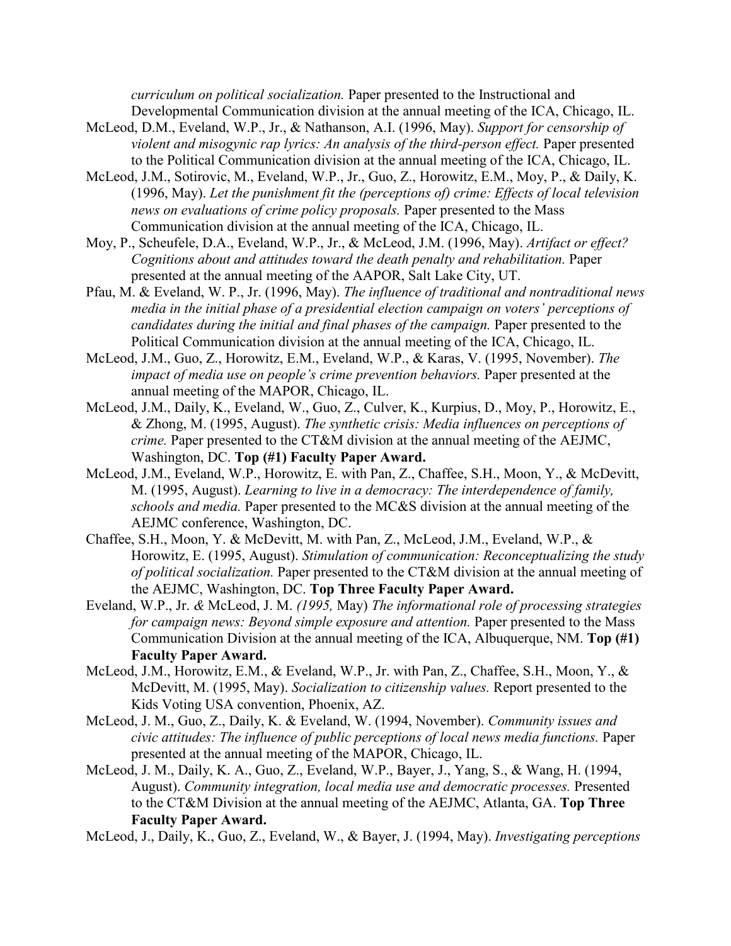*curriculum on political socialization.* Paper presented to the Instructional and Developmental Communication division at the annual meeting of the ICA, Chicago, IL.

- McLeod, D.M., Eveland, W.P., Jr., & Nathanson, A.I. (1996, May). *Support for censorship of violent and misogynic rap lyrics: An analysis of the third-person effect.* Paper presented to the Political Communication division at the annual meeting of the ICA, Chicago, IL.
- McLeod, J.M., Sotirovic, M., Eveland, W.P., Jr., Guo, Z., Horowitz, E.M., Moy, P., & Daily, K. (1996, May). *Let the punishment fit the (perceptions of) crime: Effects of local television news on evaluations of crime policy proposals.* Paper presented to the Mass Communication division at the annual meeting of the ICA, Chicago, IL.
- Moy, P., Scheufele, D.A., Eveland, W.P., Jr., & McLeod, J.M. (1996, May). *Artifact or effect? Cognitions about and attitudes toward the death penalty and rehabilitation.* Paper presented at the annual meeting of the AAPOR, Salt Lake City, UT.
- Pfau, M. & Eveland, W. P., Jr. (1996, May). *The influence of traditional and nontraditional news media in the initial phase of a presidential election campaign on voters' perceptions of candidates during the initial and final phases of the campaign.* Paper presented to the Political Communication division at the annual meeting of the ICA, Chicago, IL.
- McLeod, J.M., Guo, Z., Horowitz, E.M., Eveland, W.P., & Karas, V. (1995, November). *The impact of media use on people's crime prevention behaviors.* Paper presented at the annual meeting of the MAPOR, Chicago, IL.
- McLeod, J.M., Daily, K., Eveland, W., Guo, Z., Culver, K., Kurpius, D., Moy, P., Horowitz, E., & Zhong, M. (1995, August). *The synthetic crisis: Media influences on perceptions of crime.* Paper presented to the CT&M division at the annual meeting of the AEJMC, Washington, DC. **Top (#1) Faculty Paper Award.**
- McLeod, J.M., Eveland, W.P., Horowitz, E. with Pan, Z., Chaffee, S.H., Moon, Y., & McDevitt, M. (1995, August). *Learning to live in a democracy: The interdependence of family, schools and media.* Paper presented to the MC&S division at the annual meeting of the AEJMC conference, Washington, DC.
- Chaffee, S.H., Moon, Y. & McDevitt, M. with Pan, Z., McLeod, J.M., Eveland, W.P., & Horowitz, E. (1995, August). *Stimulation of communication: Reconceptualizing the study of political socialization.* Paper presented to the CT&M division at the annual meeting of the AEJMC, Washington, DC. **Top Three Faculty Paper Award.**
- Eveland, W.P., Jr. *&* McLeod, J. M. *(1995,* May) *The informational role of processing strategies for campaign news: Beyond simple exposure and attention.* Paper presented to the Mass Communication Division at the annual meeting of the ICA, Albuquerque, NM. **Top (#1) Faculty Paper Award.**
- McLeod, J.M., Horowitz, E.M., & Eveland, W.P., Jr. with Pan, Z., Chaffee, S.H., Moon, Y., & McDevitt, M. (1995, May). *Socialization to citizenship values.* Report presented to the Kids Voting USA convention, Phoenix, AZ.
- McLeod, J. M., Guo, Z., Daily, K. & Eveland, W. (1994, November). *Community issues and civic attitudes: The influence of public perceptions of local news media functions.* Paper presented at the annual meeting of the MAPOR, Chicago, IL.
- McLeod, J. M., Daily, K. A., Guo, Z., Eveland, W.P., Bayer, J., Yang, S., & Wang, H. (1994, August). *Community integration, local media use and democratic processes.* Presented to the CT&M Division at the annual meeting of the AEJMC, Atlanta, GA. **Top Three Faculty Paper Award.**

McLeod, J., Daily, K., Guo, Z., Eveland, W., & Bayer, J. (1994, May). *Investigating perceptions*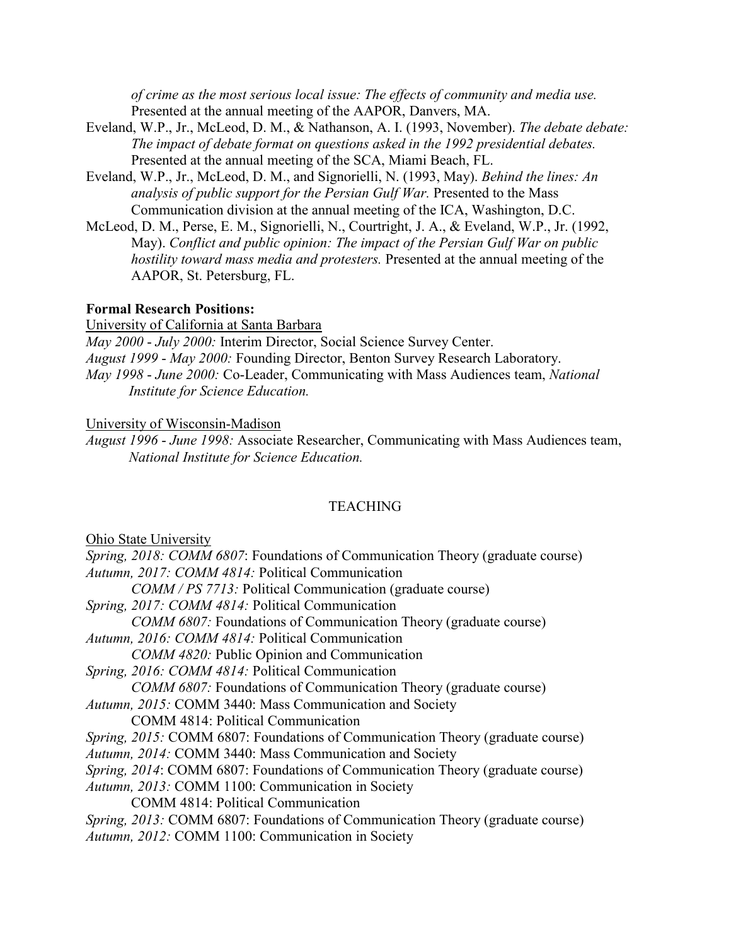*of crime as the most serious local issue: The effects of community and media use.*  Presented at the annual meeting of the AAPOR, Danvers, MA.

- Eveland, W.P., Jr., McLeod, D. M., & Nathanson, A. I. (1993, November). *The debate debate: The impact of debate format on questions asked in the 1992 presidential debates.*  Presented at the annual meeting of the SCA, Miami Beach, FL.
- Eveland, W.P., Jr., McLeod, D. M., and Signorielli, N. (1993, May). *Behind the lines: An analysis of public support for the Persian Gulf War.* Presented to the Mass Communication division at the annual meeting of the ICA, Washington, D.C.
- McLeod, D. M., Perse, E. M., Signorielli, N., Courtright, J. A., & Eveland, W.P., Jr. (1992, May). *Conflict and public opinion: The impact of the Persian Gulf War on public hostility toward mass media and protesters.* Presented at the annual meeting of the AAPOR, St. Petersburg, FL.

## **Formal Research Positions:**

University of California at Santa Barbara

*May 2000* - *July 2000:* Interim Director, Social Science Survey Center. *August 1999* - *May 2000:* Founding Director, Benton Survey Research Laboratory. *May 1998* - *June 2000:* Co-Leader, Communicating with Mass Audiences team, *National Institute for Science Education.*

## University of Wisconsin-Madison

*August 1996* - *June 1998:* Associate Researcher, Communicating with Mass Audiences team, *National Institute for Science Education.*

## **TEACHING**

Ohio State University

*Spring, 2018: COMM 6807*: Foundations of Communication Theory (graduate course) *Autumn, 2017: COMM 4814:* Political Communication *COMM / PS 7713:* Political Communication (graduate course) *Spring, 2017: COMM 4814:* Political Communication *COMM 6807:* Foundations of Communication Theory (graduate course) *Autumn, 2016: COMM 4814:* Political Communication *COMM 4820:* Public Opinion and Communication *Spring, 2016: COMM 4814:* Political Communication *COMM 6807:* Foundations of Communication Theory (graduate course) *Autumn, 2015:* COMM 3440: Mass Communication and Society COMM 4814: Political Communication *Spring, 2015:* COMM 6807: Foundations of Communication Theory (graduate course) *Autumn, 2014:* COMM 3440: Mass Communication and Society *Spring, 2014*: COMM 6807: Foundations of Communication Theory (graduate course) *Autumn, 2013:* COMM 1100: Communication in Society COMM 4814: Political Communication *Spring, 2013:* COMM 6807: Foundations of Communication Theory (graduate course) *Autumn, 2012:* COMM 1100: Communication in Society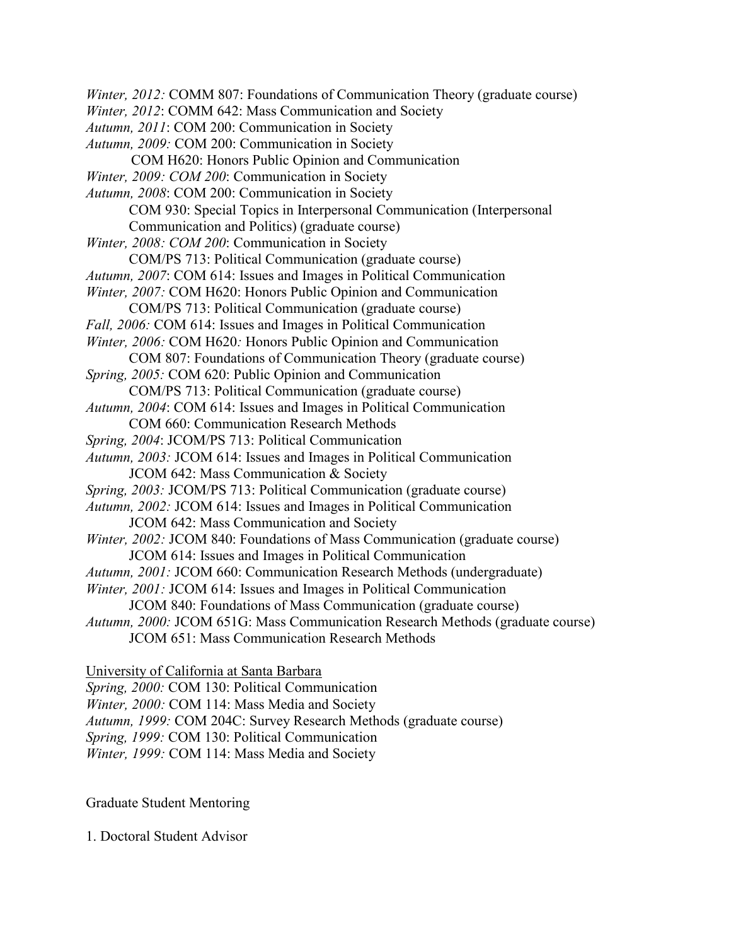*Winter, 2012:* COMM 807: Foundations of Communication Theory (graduate course) *Winter, 2012*: COMM 642: Mass Communication and Society *Autumn, 2011*: COM 200: Communication in Society *Autumn, 2009:* COM 200: Communication in Society COM H620: Honors Public Opinion and Communication *Winter, 2009: COM 200*: Communication in Society *Autumn, 2008*: COM 200: Communication in Society COM 930: Special Topics in Interpersonal Communication (Interpersonal Communication and Politics) (graduate course) *Winter, 2008: COM 200*: Communication in Society COM/PS 713: Political Communication (graduate course) *Autumn, 2007*: COM 614: Issues and Images in Political Communication *Winter, 2007:* COM H620: Honors Public Opinion and Communication COM/PS 713: Political Communication (graduate course) *Fall, 2006:* COM 614: Issues and Images in Political Communication *Winter, 2006:* COM H620*:* Honors Public Opinion and Communication COM 807: Foundations of Communication Theory (graduate course) *Spring, 2005:* COM 620: Public Opinion and Communication COM/PS 713: Political Communication (graduate course) *Autumn, 2004*: COM 614: Issues and Images in Political Communication COM 660: Communication Research Methods *Spring, 2004*: JCOM/PS 713: Political Communication *Autumn, 2003:* JCOM 614: Issues and Images in Political Communication JCOM 642: Mass Communication & Society *Spring, 2003:* JCOM/PS 713: Political Communication (graduate course) *Autumn, 2002:* JCOM 614: Issues and Images in Political Communication JCOM 642: Mass Communication and Society *Winter, 2002: JCOM 840: Foundations of Mass Communication (graduate course)* JCOM 614: Issues and Images in Political Communication *Autumn, 2001:* JCOM 660: Communication Research Methods (undergraduate) *Winter, 2001:* JCOM 614: Issues and Images in Political Communication JCOM 840: Foundations of Mass Communication (graduate course) *Autumn, 2000:* JCOM 651G: Mass Communication Research Methods (graduate course) JCOM 651: Mass Communication Research Methods University of California at Santa Barbara

*Spring, 2000:* COM 130: Political Communication *Winter, 2000:* COM 114: Mass Media and Society *Autumn, 1999:* COM 204C: Survey Research Methods (graduate course) *Spring, 1999:* COM 130: Political Communication *Winter, 1999:* COM 114: Mass Media and Society

Graduate Student Mentoring

1. Doctoral Student Advisor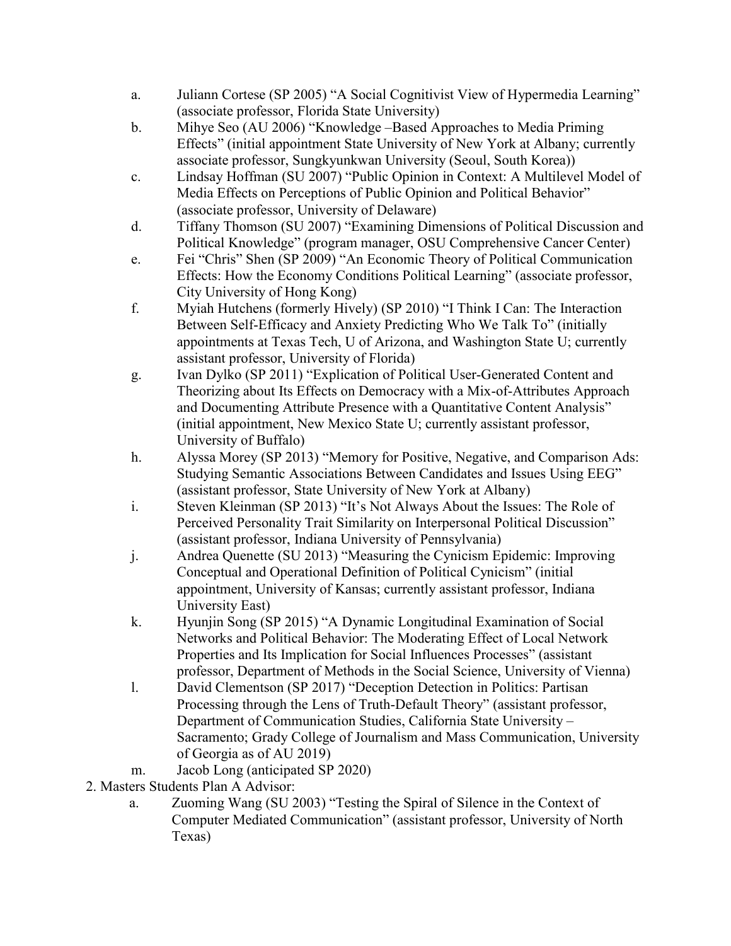- a. Juliann Cortese (SP 2005) "A Social Cognitivist View of Hypermedia Learning" (associate professor, Florida State University)
- b. Mihye Seo (AU 2006) "Knowledge –Based Approaches to Media Priming Effects" (initial appointment State University of New York at Albany; currently associate professor, Sungkyunkwan University (Seoul, South Korea))
- c. Lindsay Hoffman (SU 2007) "Public Opinion in Context: A Multilevel Model of Media Effects on Perceptions of Public Opinion and Political Behavior" (associate professor, University of Delaware)
- d. Tiffany Thomson (SU 2007) "Examining Dimensions of Political Discussion and Political Knowledge" (program manager, OSU Comprehensive Cancer Center)
- e. Fei "Chris" Shen (SP 2009) "An Economic Theory of Political Communication Effects: How the Economy Conditions Political Learning" (associate professor, City University of Hong Kong)
- f. Myiah Hutchens (formerly Hively) (SP 2010) "I Think I Can: The Interaction Between Self-Efficacy and Anxiety Predicting Who We Talk To" (initially appointments at Texas Tech, U of Arizona, and Washington State U; currently assistant professor, University of Florida)
- g. Ivan Dylko (SP 2011) "Explication of Political User-Generated Content and Theorizing about Its Effects on Democracy with a Mix-of-Attributes Approach and Documenting Attribute Presence with a Quantitative Content Analysis" (initial appointment, New Mexico State U; currently assistant professor, University of Buffalo)
- h. Alyssa Morey (SP 2013) "Memory for Positive, Negative, and Comparison Ads: Studying Semantic Associations Between Candidates and Issues Using EEG" (assistant professor, State University of New York at Albany)
- i. Steven Kleinman (SP 2013) "It's Not Always About the Issues: The Role of Perceived Personality Trait Similarity on Interpersonal Political Discussion" (assistant professor, Indiana University of Pennsylvania)
- j. Andrea Quenette (SU 2013) "Measuring the Cynicism Epidemic: Improving Conceptual and Operational Definition of Political Cynicism" (initial appointment, University of Kansas; currently assistant professor, Indiana University East)
- k. Hyunjin Song (SP 2015) "A Dynamic Longitudinal Examination of Social Networks and Political Behavior: The Moderating Effect of Local Network Properties and Its Implication for Social Influences Processes" (assistant professor, Department of Methods in the Social Science, University of Vienna)
- l. David Clementson (SP 2017) "Deception Detection in Politics: Partisan Processing through the Lens of Truth-Default Theory" (assistant professor, Department of Communication Studies, California State University – Sacramento; Grady College of Journalism and Mass Communication, University of Georgia as of AU 2019)
- m. Jacob Long (anticipated SP 2020)
- 2. Masters Students Plan A Advisor:
	- a. Zuoming Wang (SU 2003) "Testing the Spiral of Silence in the Context of Computer Mediated Communication" (assistant professor, University of North Texas)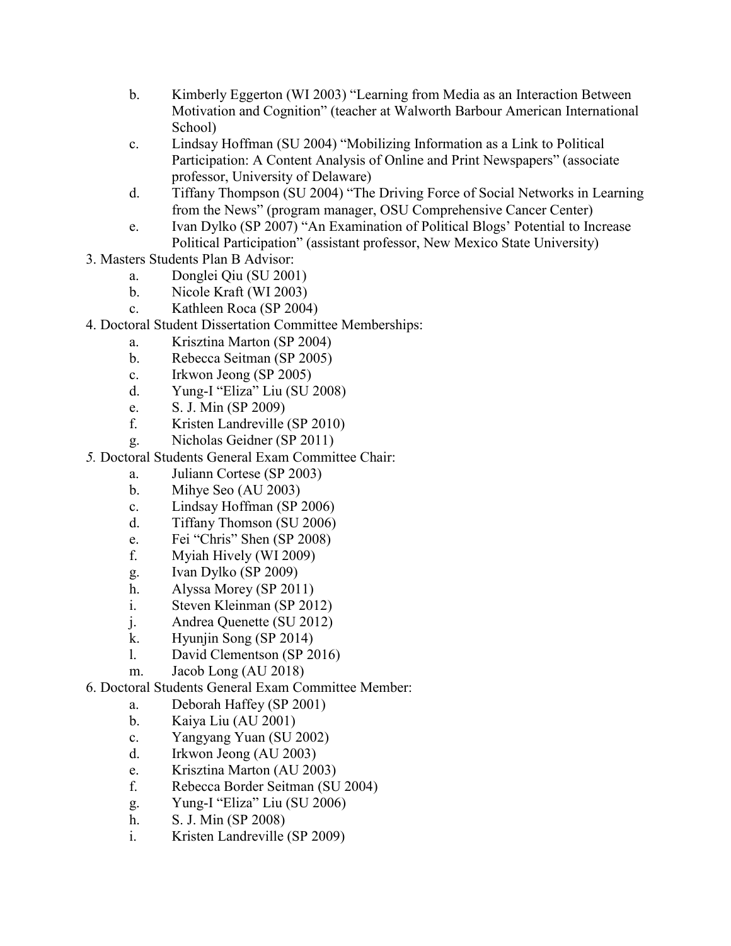- b. Kimberly Eggerton (WI 2003) "Learning from Media as an Interaction Between Motivation and Cognition" (teacher at Walworth Barbour American International School)
- c. Lindsay Hoffman (SU 2004) "Mobilizing Information as a Link to Political Participation: A Content Analysis of Online and Print Newspapers" (associate professor, University of Delaware)
- d. Tiffany Thompson (SU 2004) "The Driving Force of Social Networks in Learning from the News" (program manager, OSU Comprehensive Cancer Center)
- e. Ivan Dylko (SP 2007) "An Examination of Political Blogs' Potential to Increase Political Participation" (assistant professor, New Mexico State University)
- 3. Masters Students Plan B Advisor:
	- a. Donglei Qiu (SU 2001)
	- b. Nicole Kraft (WI 2003)
	- c. Kathleen Roca (SP 2004)
- 4. Doctoral Student Dissertation Committee Memberships:
	- a. Krisztina Marton (SP 2004)
	- b. Rebecca Seitman (SP 2005)
	- c. Irkwon Jeong (SP 2005)
	- d. Yung-I "Eliza" Liu (SU 2008)
	- e. S. J. Min (SP 2009)
	- f. Kristen Landreville (SP 2010)
	- g. Nicholas Geidner (SP 2011)
- *5.* Doctoral Students General Exam Committee Chair:
	- a. Juliann Cortese (SP 2003)
	- b. Mihye Seo (AU 2003)
	- c. Lindsay Hoffman (SP 2006)
	- d. Tiffany Thomson (SU 2006)
	- e. Fei "Chris" Shen (SP 2008)
	- f. Myiah Hively (WI 2009)
	- g. Ivan Dylko (SP 2009)
	- h. Alyssa Morey (SP 2011)
	- i. Steven Kleinman (SP 2012)
	- j. Andrea Quenette (SU 2012)
	- k. Hyunjin Song (SP 2014)
	- l. David Clementson (SP 2016)
	- m. Jacob Long (AU 2018)
- 6. Doctoral Students General Exam Committee Member:
	- a. Deborah Haffey (SP 2001)
	- b. Kaiya Liu (AU 2001)
	- c. Yangyang Yuan (SU 2002)
	- d. Irkwon Jeong (AU 2003)
	- e. Krisztina Marton (AU 2003)
	- f. Rebecca Border Seitman (SU 2004)
	- g. Yung-I "Eliza" Liu (SU 2006)
	- h. S. J. Min (SP 2008)
	- i. Kristen Landreville (SP 2009)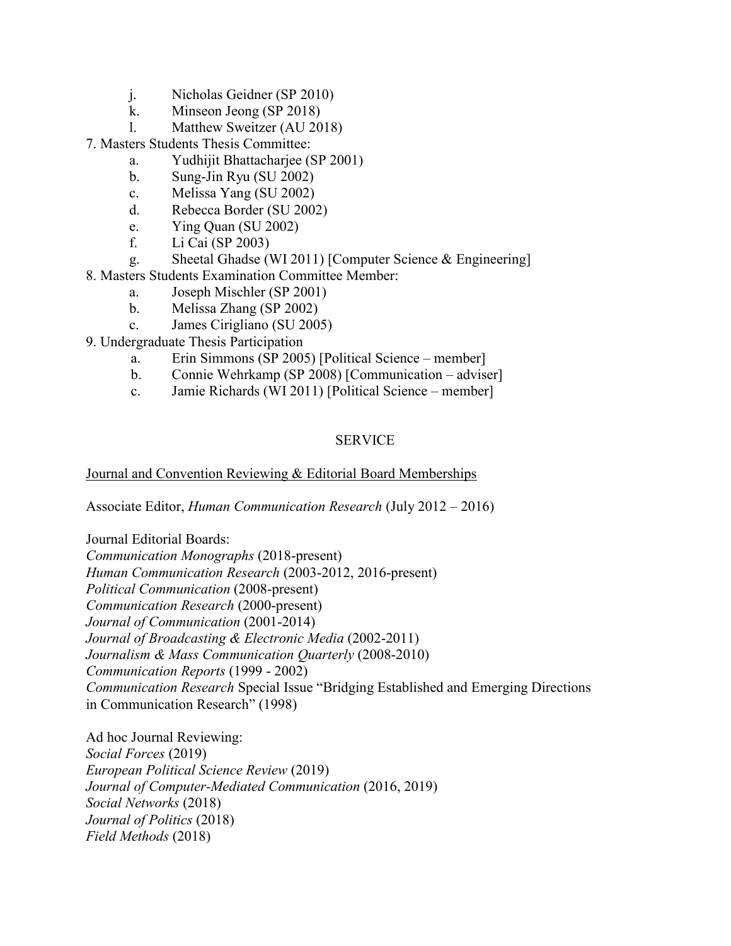- j. Nicholas Geidner (SP 2010)
- k. Minseon Jeong (SP 2018)
- l. Matthew Sweitzer (AU 2018)

7. Masters Students Thesis Committee:

- a. Yudhijit Bhattacharjee (SP 2001)
- b. Sung-Jin Ryu (SU 2002)
- c. Melissa Yang (SU 2002)
- d. Rebecca Border (SU 2002)
- e. Ying Quan (SU 2002)
- f. Li Cai (SP 2003)
- g. Sheetal Ghadse (WI 2011) [Computer Science & Engineering]
- 8. Masters Students Examination Committee Member:
	- a. Joseph Mischler (SP 2001)
	- b. Melissa Zhang (SP 2002)
	- c. James Cirigliano (SU 2005)
- 9. Undergraduate Thesis Participation
	- a. Erin Simmons (SP 2005) [Political Science member]
	- b. Connie Wehrkamp (SP 2008) [Communication adviser]
	- c. Jamie Richards (WI 2011) [Political Science member]

# SERVICE

# Journal and Convention Reviewing & Editorial Board Memberships

Associate Editor, *Human Communication Research* (July 2012 – 2016)

Journal Editorial Boards:

*Communication Monographs* (2018-present) *Human Communication Research* (2003-2012, 2016-present) *Political Communication* (2008-present) *Communication Research* (2000-present) *Journal of Communication* (2001-2014) *Journal of Broadcasting & Electronic Media* (2002-2011) *Journalism & Mass Communication Quarterly* (2008-2010) *Communication Reports* (1999 - 2002) *Communication Research* Special Issue "Bridging Established and Emerging Directions in Communication Research" (1998)

Ad hoc Journal Reviewing: *Social Forces* (2019) *European Political Science Review* (2019) *Journal of Computer-Mediated Communication* (2016, 2019) *Social Networks* (2018) *Journal of Politics* (2018) *Field Methods* (2018)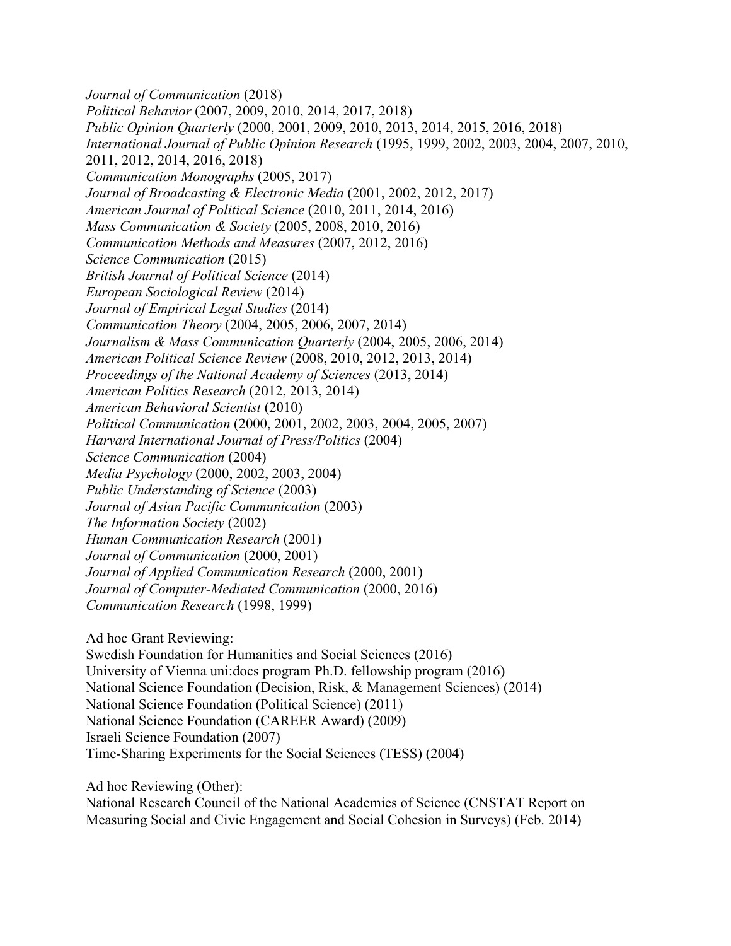*Journal of Communication* (2018) *Political Behavior* (2007, 2009, 2010, 2014, 2017, 2018) *Public Opinion Quarterly* (2000, 2001, 2009, 2010, 2013, 2014, 2015, 2016, 2018) *International Journal of Public Opinion Research* (1995, 1999, 2002, 2003, 2004, 2007, 2010, 2011, 2012, 2014, 2016, 2018) *Communication Monographs* (2005, 2017) *Journal of Broadcasting & Electronic Media* (2001, 2002, 2012, 2017) *American Journal of Political Science* (2010, 2011, 2014, 2016) *Mass Communication & Society* (2005, 2008, 2010, 2016) *Communication Methods and Measures* (2007, 2012, 2016) *Science Communication* (2015) *British Journal of Political Science* (2014) *European Sociological Review* (2014) *Journal of Empirical Legal Studies* (2014) *Communication Theory* (2004, 2005, 2006, 2007, 2014) *Journalism & Mass Communication Quarterly* (2004, 2005, 2006, 2014) *American Political Science Review* (2008, 2010, 2012, 2013, 2014) *Proceedings of the National Academy of Sciences* (2013, 2014) *American Politics Research* (2012, 2013, 2014) *American Behavioral Scientist* (2010) *Political Communication* (2000, 2001, 2002, 2003, 2004, 2005, 2007) *Harvard International Journal of Press/Politics* (2004) *Science Communication* (2004) *Media Psychology* (2000, 2002, 2003, 2004) *Public Understanding of Science* (2003) *Journal of Asian Pacific Communication* (2003) *The Information Society* (2002) *Human Communication Research* (2001) *Journal of Communication* (2000, 2001) *Journal of Applied Communication Research* (2000, 2001) *Journal of Computer-Mediated Communication* (2000, 2016) *Communication Research* (1998, 1999) Ad hoc Grant Reviewing:

Swedish Foundation for Humanities and Social Sciences (2016) University of Vienna uni:docs program Ph.D. fellowship program (2016) National Science Foundation (Decision, Risk, & Management Sciences) (2014) National Science Foundation (Political Science) (2011) National Science Foundation (CAREER Award) (2009) Israeli Science Foundation (2007)

Time-Sharing Experiments for the Social Sciences (TESS) (2004)

Ad hoc Reviewing (Other):

National Research Council of the National Academies of Science (CNSTAT Report on Measuring Social and Civic Engagement and Social Cohesion in Surveys) (Feb. 2014)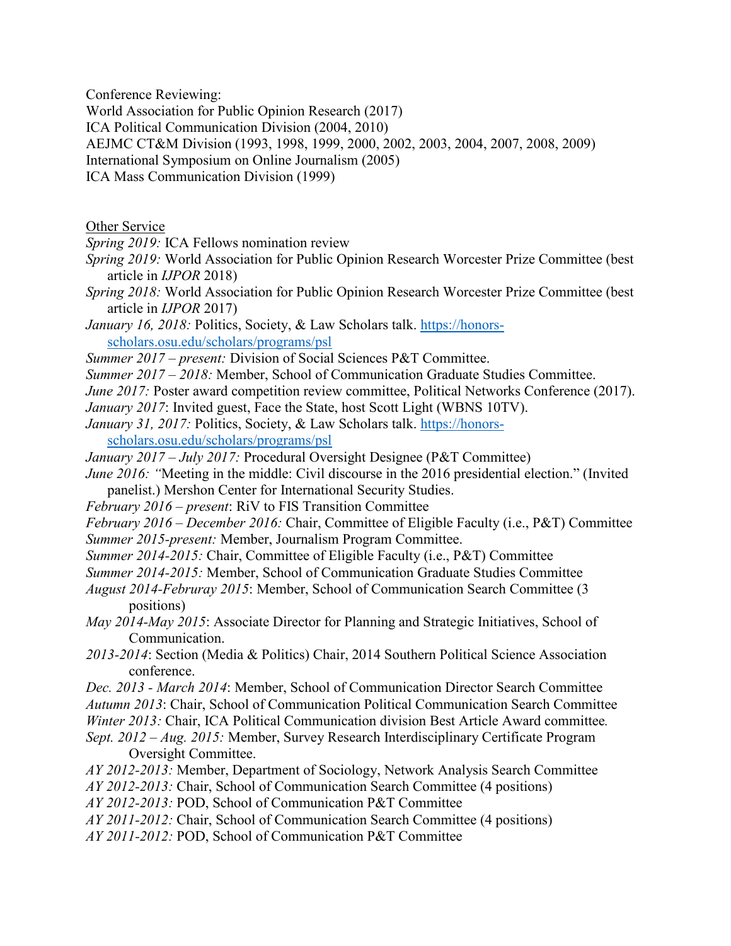Conference Reviewing:

World Association for Public Opinion Research (2017)

ICA Political Communication Division (2004, 2010)

AEJMC CT&M Division (1993, 1998, 1999, 2000, 2002, 2003, 2004, 2007, 2008, 2009)

International Symposium on Online Journalism (2005)

ICA Mass Communication Division (1999)

Other Service

*Spring 2019:* ICA Fellows nomination review

- *Spring 2019:* World Association for Public Opinion Research Worcester Prize Committee (best article in *IJPOR* 2018)
- *Spring 2018:* World Association for Public Opinion Research Worcester Prize Committee (best article in *IJPOR* 2017)
- January 16, 2018: Politics, Society, & Law Scholars talk. [https://honors](https://honors-scholars.osu.edu/scholars/programs/psl)[scholars.osu.edu/scholars/programs/psl](https://honors-scholars.osu.edu/scholars/programs/psl)

*Summer 2017 – present:* Division of Social Sciences P&T Committee.

- *Summer 2017 – 2018:* Member, School of Communication Graduate Studies Committee.
- *June 2017:* Poster award competition review committee, Political Networks Conference (2017).
- *January 2017*: Invited guest, Face the State, host Scott Light (WBNS 10TV).
- *January 31, 2017: Politics, Society, & Law Scholars talk. [https://honors](https://honors-scholars.osu.edu/scholars/programs/psl)*[scholars.osu.edu/scholars/programs/psl](https://honors-scholars.osu.edu/scholars/programs/psl)
- *January 2017 – July 2017:* Procedural Oversight Designee (P&T Committee)
- *June 2016:* "Meeting in the middle: Civil discourse in the 2016 presidential election." (Invited panelist.) Mershon Center for International Security Studies.
- *February 2016 – present*: RiV to FIS Transition Committee
- *February 2016 – December 2016:* Chair, Committee of Eligible Faculty (i.e., P&T) Committee *Summer 2015-present:* Member, Journalism Program Committee.
- 
- *Summer 2014-2015:* Chair, Committee of Eligible Faculty (i.e., P&T) Committee
- *Summer 2014-2015:* Member, School of Communication Graduate Studies Committee
- *August 2014-Februray 2015*: Member, School of Communication Search Committee (3 positions)
- *May 2014-May 2015*: Associate Director for Planning and Strategic Initiatives, School of Communication.
- *2013-2014*: Section (Media & Politics) Chair, 2014 Southern Political Science Association conference.
- *Dec. 2013 - March 2014*: Member, School of Communication Director Search Committee

*Autumn 2013*: Chair, School of Communication Political Communication Search Committee

*Winter 2013:* Chair, ICA Political Communication division Best Article Award committee*.*

- *Sept. 2012 – Aug. 2015:* Member, Survey Research Interdisciplinary Certificate Program Oversight Committee.
- *AY 2012-2013:* Member, Department of Sociology, Network Analysis Search Committee
- *AY 2012-2013:* Chair, School of Communication Search Committee (4 positions)

*AY 2012-2013:* POD, School of Communication P&T Committee

*AY 2011-2012:* Chair, School of Communication Search Committee (4 positions)

*AY 2011-2012:* POD, School of Communication P&T Committee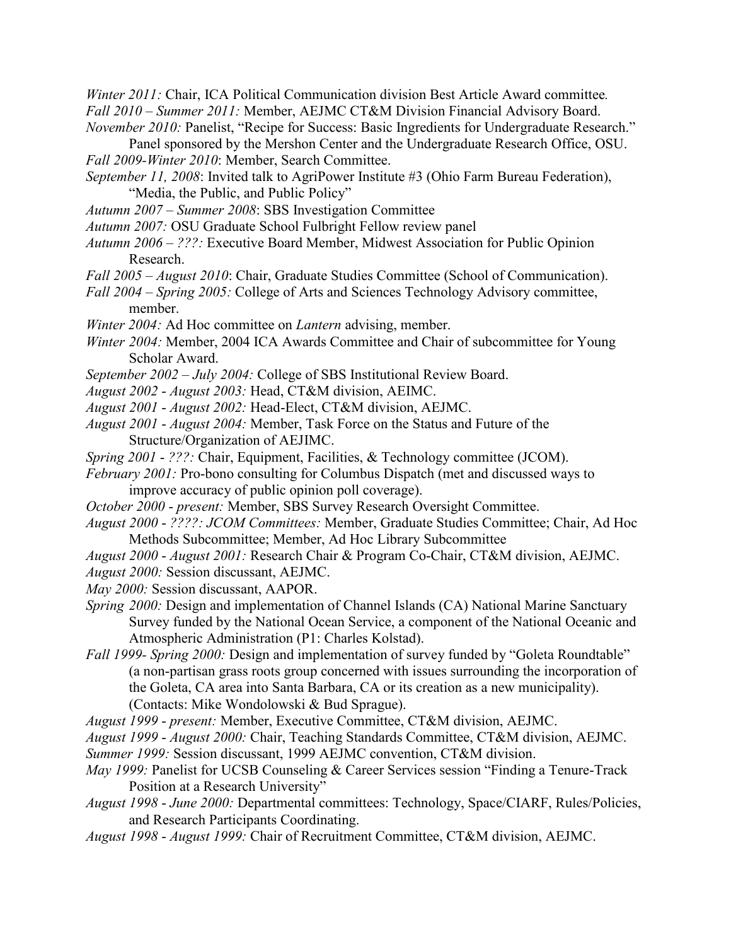*Winter 2011:* Chair, ICA Political Communication division Best Article Award committee*. Fall 2010 – Summer 2011:* Member, AEJMC CT&M Division Financial Advisory Board.

*November 2010: Panelist, "Recipe for Success: Basic Ingredients for Undergraduate Research."* 

Panel sponsored by the Mershon Center and the Undergraduate Research Office, OSU. *Fall 2009-Winter 2010*: Member, Search Committee.

- *September 11, 2008*: Invited talk to AgriPower Institute #3 (Ohio Farm Bureau Federation), "Media, the Public, and Public Policy"
- *Autumn 2007 – Summer 2008*: SBS Investigation Committee
- *Autumn 2007:* OSU Graduate School Fulbright Fellow review panel
- *Autumn 2006 – ???:* Executive Board Member, Midwest Association for Public Opinion Research.
- *Fall 2005 – August 2010*: Chair, Graduate Studies Committee (School of Communication).
- *Fall 2004 – Spring 2005:* College of Arts and Sciences Technology Advisory committee, member.
- *Winter 2004:* Ad Hoc committee on *Lantern* advising, member.
- *Winter 2004:* Member, 2004 ICA Awards Committee and Chair of subcommittee for Young Scholar Award.
- *September 2002 July 2004:* College of SBS Institutional Review Board.
- *August 2002 August 2003:* Head, CT&M division, AEIMC.
- *August 2001 August 2002:* Head-Elect, CT&M division, AEJMC.
- *August 2001 August 2004:* Member, Task Force on the Status and Future of the Structure/Organization of AEJIMC.
- *Spring 2001 ???:* Chair, Equipment, Facilities, & Technology committee (JCOM).
- *February 2001:* Pro-bono consulting for Columbus Dispatch (met and discussed ways to improve accuracy of public opinion poll coverage).
- *October 2000 present:* Member, SBS Survey Research Oversight Committee.
- *August 2000 ????: JCOM Committees:* Member, Graduate Studies Committee; Chair, Ad Hoc Methods Subcommittee; Member, Ad Hoc Library Subcommittee
- *August 2000 August 2001:* Research Chair & Program Co-Chair, CT&M division, AEJMC.
- *August 2000:* Session discussant, AEJMC.
- *May 2000:* Session discussant, AAPOR.
- *Spring* 2000: Design and implementation of Channel Islands (CA) National Marine Sanctuary Survey funded by the National Ocean Service, a component of the National Oceanic and Atmospheric Administration (P1: Charles Kolstad).
- *Fall 1999- Spring 2000:* Design and implementation of survey funded by "Goleta Roundtable" (a non-partisan grass roots group concerned with issues surrounding the incorporation of the Goleta, CA area into Santa Barbara, CA or its creation as a new municipality). (Contacts: Mike Wondolowski & Bud Sprague).
- *August 1999 present:* Member, Executive Committee, CT&M division, AEJMC.
- *August 1999 August 2000:* Chair, Teaching Standards Committee, CT&M division, AEJMC.
- *Summer 1999:* Session discussant, 1999 AEJMC convention, CT&M division.
- *May 1999: Panelist for UCSB Counseling & Career Services session "Finding a Tenure-Track*" Position at a Research University"
- *August 1998 June 2000:* Departmental committees: Technology, Space/CIARF, Rules/Policies, and Research Participants Coordinating.
- *August 1998 August 1999:* Chair of Recruitment Committee, CT&M division, AEJMC.